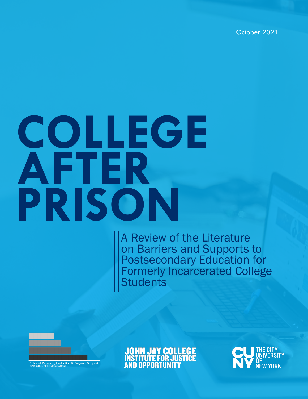October 2021

# **COLLEGE AFTER PRISON**

A Review of the Literature on Barriers and Supports to Postsecondary Education for Formerly Incarcerated College **Students** 



**JOHN JAY COLLEGE INSTITUTE FOR JUSTICE AND OPPORTUNITY** 

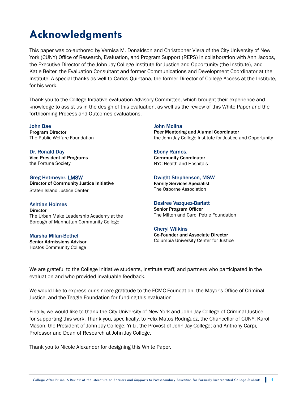# **Acknowledgments**

This paper was co-authored by Vernisa M. Donaldson and Christopher Viera of the City University of New York (CUNY) Office of Research, Evaluation, and Program Support (REPS) in collaboration with Ann Jacobs, the Executive Director of the John Jay College Institute for Justice and Opportunity (the Institute), and Katie Beiter, the Evaluation Consultant and former Communications and Development Coordinator at the Institute. A special thanks as well to Carlos Quintana, the former Director of College Access at the Institute, for his work.

Thank you to the College Initiative evaluation Advisory Committee, which brought their experience and knowledge to assist us in the design of this evaluation, as well as the review of this White Paper and the forthcoming Process and Outcomes evaluations.

John Bae Program Director The Public Welfare Foundation

Dr. Ronald Day Vice President of Programs the Fortune Society

Greg Hetmeyer. LMSW Director of Community Justice Initiative Staten Island Justice Center

Ashtian Holmes **Director** The Urban Make Leadership Academy at the Borough of Manhattan Community College

Marsha Milan-Bethel Senior Admissions Advisor Hostos Community College

John Molina Peer Mentoring and Alumni Coordinator the John Jay College Institute for Justice and Opportunity

Ebony Ramos, Community Coordinator NYC Health and Hospitals

Dwight Stephenson, MSW Family Services Specialist The Osborne Association

#### Desiree Vazquez-Barlatt

Senior Program Officer The Milton and Carol Petrie Foundation

Cheryl Wilkins Co-Founder and Associate Director Columbia University Center for Justice

We are grateful to the College Initiative students, Institute staff, and partners who participated in the evaluation and who provided invaluable feedback.

We would like to express our sincere gratitude to the ECMC Foundation, the Mayor's Office of Criminal Justice, and the Teagle Foundation for funding this evaluation

Finally, we would like to thank the City University of New York and John Jay College of Criminal Justice for supporting this work. Thank you, specifically, to Felix Matos Rodriguez, the Chancellor of CUNY; Karol Mason, the President of John Jay College; Yi Li, the Provost of John Jay College; and Anthony Carpi, Professor and Dean of Research at John Jay College.

Thank you to Nicole Alexander for designing this White Paper.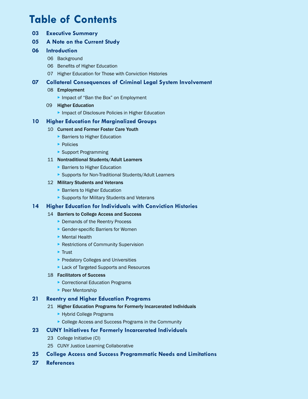# **Table of Contents**

- **03 Executive Summary**
- **05 A Note on the Current Study**

#### **06 Introduction**

- 06 Background
- 06 Benefits of Higher Education
- 07 Higher Education for Those with Conviction Histories

#### **07 Collateral Consequences of Criminal Legal System Involvement**

- 08 Employment
	- ▸ Impact of "Ban the Box" on Employment
- 09 Higher Education
	- ▸ Impact of Disclosure Policies in Higher Education

#### **10 Higher Education for Marginalized Groups**

#### 10 Current and Former Foster Care Youth

- ▶ Barriers to Higher Education
- ▸ Policies
- ▶ Support Programming

#### 11 Nontraditional Students/Adult Learners

- ▶ Barriers to Higher Education
- ▸ Supports for Non-Traditional Students/Adult Learners

#### 12 Military Students and Veterans

- ▶ Barriers to Higher Education
- ▶ Supports for Military Students and Veterans

#### **14 Higher Education for Individuals with Conviction Histories**

#### 14 Barriers to College Access and Success

- ▸ Demands of the Reentry Process
- ▶ Gender-specific Barriers for Women
- ▸ Mental Health
- ▶ Restrictions of Community Supervision
- ▸ Trust
- ▸ Predatory Colleges and Universities
- ▸ Lack of Targeted Supports and Resources

#### 18 Facilitators of Success

- ▶ Correctional Education Programs
- ▶ Peer Mentorship

#### **21 Reentry and Higher Education Programs**

- 21 Higher Education Programs for Formerly Incarcerated Individuals
	- ▸ Hybrid College Programs
	- ▶ College Access and Success Programs in the Community

#### **23 CUNY Initiatives for Formerly Incarcerated Individuals**

- 23 College Initiative (CI)
- 25 CUNY Justice Learning Collaborative
- **25 College Access and Success Programmatic Needs and Limitations**
- **27 References**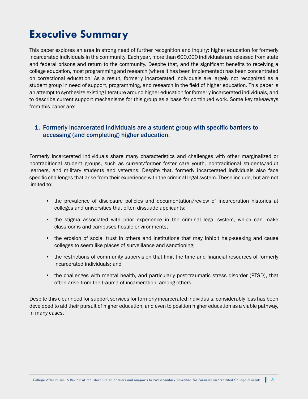# **Executive Summary**

This paper explores an area in strong need of further recognition and inquiry: higher education for formerly incarcerated individuals in the community. Each year, more than 600,000 individuals are released from state and federal prisons and return to the community. Despite that, and the significant benefits to receiving a college education, most programming and research (where it has been implemented) has been concentrated on correctional education. As a result, formerly incarcerated individuals are largely not recognized as a student group in need of support, programming, and research in the field of higher education. This paper is an attempt to synthesize existing literature around higher education for formerly incarcerated individuals, and to describe current support mechanisms for this group as a base for continued work. Some key takeaways from this paper are:

#### 1. Formerly incarcerated individuals are a student group with specific barriers to accessing (and completing) higher education.

Formerly incarcerated individuals share many characteristics and challenges with other marginalized or nontraditional student groups, such as current/former foster care youth, nontraditional students/adult learners, and military students and veterans. Despite that, formerly incarcerated individuals also face specific challenges that arise from their experience with the criminal legal system. These include, but are not limited to:

- the prevalence of disclosure policies and documentation/review of incarceration histories at colleges and universities that often dissuade applicants;
- the stigma associated with prior experience in the criminal legal system, which can make classrooms and campuses hostile environments;
- the erosion of social trust in others and institutions that may inhibit help-seeking and cause colleges to seem like places of surveillance and sanctioning;
- the restrictions of community supervision that limit the time and financial resources of formerly incarcerated individuals; and
- the challenges with mental health, and particularly post-traumatic stress disorder (PTSD), that often arise from the trauma of incarceration, among others.

Despite this clear need for support services for formerly incarcerated individuals, considerably less has been developed to aid their pursuit of higher education, and even to position higher education as a viable pathway, in many cases.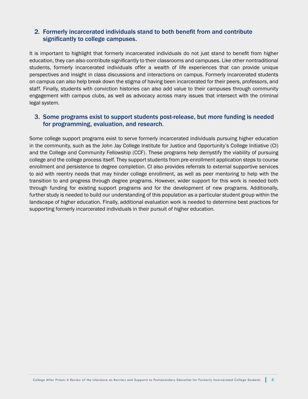#### 2. Formerly incarcerated individuals stand to both benefit from and contribute significantly to college campuses.

It is important to highlight that formerly incarcerated individuals do not just stand to benefit from higher education, they can also contribute significantly to their classrooms and campuses. Like other nontraditional students, formerly incarcerated individuals offer a wealth of life experiences that can provide unique perspectives and insight in class discussions and interactions on campus. Formerly incarcerated students on campus can also help break down the stigma of having been incarcerated for their peers, professors, and staff. Finally, students with conviction histories can also add value to their campuses through community engagement with campus clubs, as well as advocacy across many issues that intersect with the criminal legal system.

#### 3. Some programs exist to support students post-release, but more funding is needed for programming, evaluation, and research.

Some college support programs exist to serve formerly incarcerated individuals pursuing higher education in the community, such as the John Jay College Institute for Justice and Opportunity's College Initiative (CI) and the College and Community Fellowship (CCF). These programs help demystify the viability of pursuing college and the college process itself. They support students from pre-enrollment application steps to course enrollment and persistence to degree completion. CI also provides referrals to external supportive services to aid with reentry needs that may hinder college enrollment, as well as peer mentoring to help with the transition to and progress through degree programs. However, wider support for this work is needed both through funding for existing support programs and for the development of new programs. Additionally, further study is needed to build our understanding of this population as a particular student group within the landscape of higher education. Finally, additional evaluation work is needed to determine best practices for supporting formerly incarcerated individuals in their pursuit of higher education.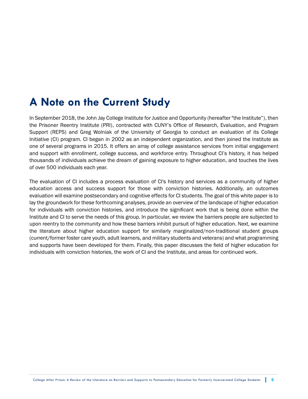# **A Note on the Current Study**

In September 2018, the John Jay College Institute for Justice and Opportunity (hereafter "the Institute"), then the Prisoner Reentry Institute (PRI), contracted with CUNY's Office of Research, Evaluation, and Program Support (REPS) and Greg Wolniak of the University of Georgia to conduct an evaluation of its College Initiative (CI) program. CI began in 2002 as an independent organization, and then joined the Institute as one of several programs in 2015. It offers an array of college assistance services from initial engagement and support with enrollment, college success, and workforce entry. Throughout CI's history, it has helped thousands of individuals achieve the dream of gaining exposure to higher education, and touches the lives of over 500 individuals each year.

The evaluation of CI includes a process evaluation of CI's history and services as a community of higher education access and success support for those with conviction histories. Additionally, an outcomes evaluation will examine postsecondary and cognitive effects for CI students. The goal of this white paper is to lay the groundwork for these forthcoming analyses, provide an overview of the landscape of higher education for individuals with conviction histories, and introduce the significant work that is being done within the Institute and CI to serve the needs of this group. In particular, we review the barriers people are subjected to upon reentry to the community and how these barriers inhibit pursuit of higher education. Next, we examine the literature about higher education support for similarly marginalized/non-traditional student groups (current/former foster care youth, adult learners, and military students and veterans) and what programming and supports have been developed for them. Finally, this paper discusses the field of higher education for individuals with conviction histories, the work of CI and the Institute, and areas for continued work.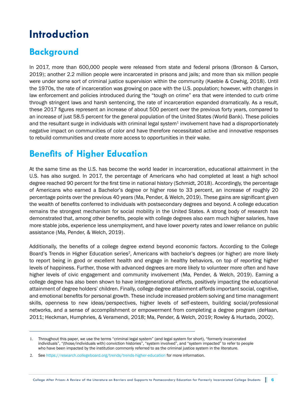# **Introduction**

## **Background**

In 2017, more than 600,000 people were released from state and federal prisons (Bronson & Carson, 2019); another 2.2 million people were incarcerated in prisons and jails; and more than six million people were under some sort of criminal justice supervision within the community (Kaeble & Cowhig, 2018). Until the 1970s, the rate of incarceration was growing on pace with the U.S. population; however, with changes in law enforcement and policies introduced during the "tough on crime" era that were intended to curb crime through stringent laws and harsh sentencing, the rate of incarceration expanded dramatically. As a result, these 2017 figures represent an increase of about 500 percent over the previous forty years, compared to an increase of just 58.5 percent for the general population of the United States (World Bank). These policies and the resultant surge in individuals with criminal legal system $<sup>1</sup>$  involvement have had a disproportionately</sup> negative impact on communities of color and have therefore necessitated active and innovative responses to rebuild communities and create more access to opportunities in their wake.

## **Benefits of Higher Education**

At the same time as the U.S. has become the world leader in incarceration, educational attainment in the U.S. has also surged. In 2017, the percentage of Americans who had completed at least a high school degree reached 90 percent for the first time in national history (Schmidt, 2018). Accordingly, the percentage of Americans who earned a Bachelor's degree or higher rose to 33 percent, an increase of roughly 20 percentage points over the previous 40 years (Ma, Pender, & Welch, 2019). These gains are significant given the wealth of benefits conferred to individuals with postsecondary degrees and beyond. A college education remains the strongest mechanism for social mobility in the United States. A strong body of research has demonstrated that, among other benefits, people with college degrees also earn much higher salaries, have more stable jobs, experience less unemployment, and have lower poverty rates and lower reliance on public assistance (Ma, Pender, & Welch, 2019).

Additionally, the benefits of a college degree extend beyond economic factors. According to the College Board's Trends in Higher Education series<sup>2</sup>, Americans with bachelor's degrees (or higher) are more likely to report being in good or excellent health and engage in healthy behaviors, on top of reporting higher levels of happiness. Further, those with advanced degrees are more likely to volunteer more often and have higher levels of civic engagement and community involvement (Ma, Pender, & Welch, 2019). Earning a college degree has also been shown to have intergenerational effects, positively impacting the educational attainment of degree holders' children. Finally, college degree attainment affords important social, cognitive, and emotional benefits for personal growth. These include increased problem solving and time management skills, openness to new ideas/perspectives, higher levels of self-esteem, building social/professional networks, and a sense of accomplishment or empowerment from completing a degree program (deHaan, 2011; Heckman, Humphries, & Veramendi, 2018; Ma, Pender, & Welch, 2019; Rowley & Hurtado, 2002).

<sup>1.</sup> Throughout this paper, we use the terms "criminal legal system" (and legal system for short), "formerly incarcerated individuals", "(those/individuals with) conviction histories", "system involved", and "system impacted" to refer to people who have been impacted by the institution commonly referred to as the criminal justice system in the literature.

<sup>2.</sup> See <https://research.collegeboard.org/trends/trends-higher-education> for more information.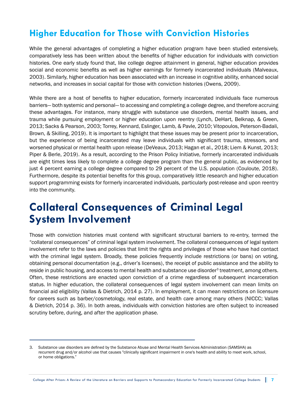## **Higher Education for Those with Conviction Histories**

While the general advantages of completing a higher education program have been studied extensively, comparatively less has been written about the benefits of higher education for individuals with conviction histories. One early study found that, like college degree attainment in general, higher education provides social and economic benefits as well as higher earnings for formerly incarcerated individuals (Malveaux, 2003). Similarly, higher education has been associated with an increase in cognitive ability, enhanced social networks, and increases in social capital for those with conviction histories (Owens, 2009).

While there are a host of benefits to higher education, formerly incarcerated individuals face numerous barriers— both systemic and personal— to accessing and completing a college degree, and therefore accruing these advantages. For instance, many struggle with substance use disorders, mental health issues, and trauma while pursuing employment or higher education upon reentry (Lynch, DeHart, Belknap, & Green, 2013; Sacks & Pearson, 2003; Torrey, Kennard, Eslinger, Lamb, & Pavle, 2010; Vitopoulos, Peterson-Badali, Brown, & Skilling, 2019). It is important to highlight that these issues may be present prior to incarceration, but the experience of being incarcerated may leave individuals with significant trauma, stressors, and worsened physical or mental health upon release (DeVeaux, 2013; Hagan et al., 2018; Liem & Kunst, 2013; Piper & Berle, 2019). As a result, according to the Prison Policy Initiative, formerly incarcerated individuals are eight times less likely to complete a college degree program than the general public, as evidenced by just 4 percent earning a college degree compared to 29 percent of the U.S. population (Couloute, 2018). Furthermore, despite its potential benefits for this group, comparatively little research and higher education support programming exists for formerly incarcerated individuals, particularly post-release and upon reentry into the community.

## **Collateral Consequences of Criminal Legal System Involvement**

Those with conviction histories must contend with significant structural barriers to re-entry, termed the "collateral consequences" of criminal legal system involvement. The collateral consequences of legal system involvement refer to the laws and policies that limit the rights and privileges of those who have had contact with the criminal legal system. Broadly, these policies frequently include restrictions (or bans) on voting, obtaining personal documentation (e.g., driver's licenses), the receipt of public assistance and the ability to reside in public housing, and access to mental health and substance use disorder<sup>3</sup> treatment, among others. Often, these restrictions are enacted upon conviction of a crime regardless of subsequent incarceration status. In higher education, the collateral consequences of legal system involvement can mean limits on financial aid eligibility (Vallas & Dietrich, 2014 p. 27). In employment, it can mean restrictions on licensure for careers such as barber/cosmetology, real estate, and health care among many others (NICCC; Vallas & Dietrich, 2014 p. 36). In both areas, individuals with conviction histories are often subject to increased scrutiny before, during, and after the application phase.

<sup>3.</sup> Substance use disorders are defined by the Substance Abuse and Mental Health Services Administration (SAMSHA) as recurrent drug and/or alcohol use that causes "clinically significant impairment in one's health and ability to meet work, school, or home obligations."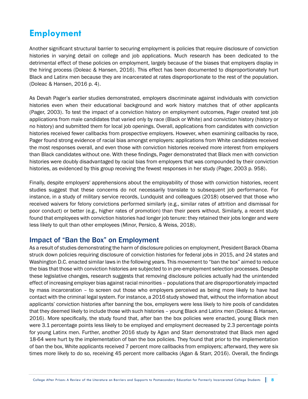## **Employment**

Another significant structural barrier to securing employment is policies that require disclosure of conviction histories in varying detail on college and job applications. Much research has been dedicated to the detrimental effect of these policies on employment, largely because of the biases that employers display in the hiring process (Doleac & Hansen, 2016). This effect has been documented to disproportionately hurt Black and Latinx men because they are incarcerated at rates disproportionate to the rest of the population. (Doleac & Hansen, 2016 p. 4).

As Devah Pager's earlier studies demonstrated, employers discriminate against individuals with conviction histories even when their educational background and work history matches that of other applicants (Pager, 2003). To test the impact of a conviction history on employment outcomes, Pager created test job applications from male candidates that varied only by race (Black or White) and conviction history (history or no history) and submitted them for local job openings. Overall, applications from candidates with conviction histories received fewer callbacks from prospective employers. However, when examining callbacks by race, Pager found strong evidence of racial bias amongst employers: applications from White candidates received the most responses overall, and even those with conviction histories received more interest from employers than Black candidates without one. With these findings, Pager demonstrated that Black men with conviction histories were doubly disadvantaged by racial bias from employers that was compounded by their conviction histories, as evidenced by this group receiving the fewest responses in her study (Pager, 2003 p. 958).

Finally, despite employers' apprehensions about the employability of those with conviction histories, recent studies suggest that these concerns do not necessarily translate to subsequent job performance. For instance, in a study of military service records, Lundquist and colleagues (2018) observed that those who received waivers for felony convictions performed similarly (e.g., similar rates of attrition and dismissal for poor conduct) or better (e.g., higher rates of promotion) than their peers without. Similarly, a recent study found that employees with conviction histories had longer job tenure: they retained their jobs longer and were less likely to quit than other employees (Minor, Persico, & Weiss, 2018).

## Impact of "Ban the Box" on Employment

As a result of studies demonstrating the harm of disclosure policies on employment, President Barack Obama struck down policies requiring disclosure of conviction histories for federal jobs in 2015, and 24 states and Washington D.C. enacted similar laws in the following years. This movement to "ban the box" aimed to reduce the bias that those with conviction histories are subjected to in pre-employment selection processes. Despite these legislative changes, research suggests that removing disclosure policies actually had the unintended effect of increasing employer bias against racial minorities – populations that are disproportionately impacted by mass incarceration – to screen out those who employers perceived as being more likely to have had contact with the criminal legal system. For instance, a 2016 study showed that, without the information about applicants' conviction histories after banning the box, employers were less likely to hire pools of candidates that they deemed likely to include those with such histories – young Black and Latinx men (Doleac & Hansen, 2016). More specifically, the study found that, after ban the box policies were enacted, young Black men were 3.1 percentage points less likely to be employed and employment decreased by 2.3 percentage points for young Latinx men. Further, another 2016 study by Agan and Starr demonstrated that Black men aged 18-64 were hurt by the implementation of ban the box policies. They found that prior to the implementation of ban the box, White applicants received 7 percent more callbacks from employers; afterward, they were six times more likely to do so, receiving 45 percent more callbacks (Agan & Starr, 2016). Overall, the findings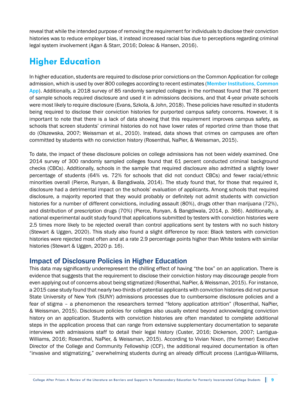reveal that while the intended purpose of removing the requirement for individuals to disclose their conviction histories was to reduce employer bias, it instead increased racial bias due to perceptions regarding criminal legal system involvement (Agan & Starr, 2016; Doleac & Hansen, 2016).

## **Higher Education**

In higher education, students are required to disclose prior convictions on the Common Application for college admission, which is used by over 800 colleges according to recent estimates (Member Institutions, Common [App](https://www.commonapp.org/members)). Additionally, a 2018 survey of 85 randomly sampled colleges in the northeast found that 78 percent of sample schools required disclosure and used it in admissions decisions, and that 4-year private schools were most likely to require disclosure (Evans, Szkola, & John, 2018). These policies have resulted in students being required to disclose their conviction histories for purported campus safety concerns. However, it is important to note that there is a lack of data showing that this requirement improves campus safety, as schools that screen students' criminal histories do not have lower rates of reported crime than those that do (Olszewska, 2007; Weissman et al., 2010). Instead, data shows that crimes on campuses are often committed by students with no conviction history (Rosenthal, NaPier, & Weissman, 2015).

To date, the impact of these disclosure policies on college admissions has not been widely examined. One 2014 survey of 300 randomly sampled colleges found that 61 percent conducted criminal background checks (CBCs). Additionally, schools in the sample that required disclosure also admitted a slightly lower percentage of students (64% vs. 72% for schools that did not conduct CBCs) and fewer racial/ethnic minorities overall (Pierce, Runyan, & Bangdiwala, 2014). The study found that, for those that required it, disclosure had a detrimental impact on the schools' evaluation of applicants. Among schools that required disclosure, a majority reported that they would probably or definitely not admit students with conviction histories for a number of different convictions, including assault (80%), drugs other than marijuana (72%), and distribution of prescription drugs (70%) (Pierce, Runyan, & Bangdiwala, 2014, p. 366). Additionally, a national experimental audit study found that applications submitted by testers with conviction histories were 2.5 times more likely to be rejected overall than control applications sent by testers with no such history (Stewart & Uggen, 2020). This study also found a slight difference by race: Black testers with conviction histories were rejected most often and at a rate 2.9 percentage points higher than White testers with similar histories (Stewart & Uggen, 2020 p. 16).

## Impact of Disclosure Policies in Higher Education

This data may significantly underrepresent the chilling effect of having "the box" on an application. There is evidence that suggests that the requirement to disclose their conviction history may discourage people from even applying out of concerns about being stigmatized (Rosenthal, NaPier, & Weissman, 2015). For instance, a 2015 case study found that nearly two-thirds of potential applicants with conviction histories did not pursue State University of New York (SUNY) admissions processes due to cumbersome disclosure policies and a fear of stigma – a phenomenon the researchers termed "felony application attrition" (Rosenthal, NaPier, & Weissman, 2015). Disclosure policies for colleges also usually extend beyond acknowledging conviction history on an application. Students with conviction histories are often mandated to complete additional steps in the application process that can range from extensive supplementary documentation to separate interviews with admissions staff to detail their legal history (Custer, 2016; Dickerson, 2007; Lantigua-Williams, 2016; Rosenthal, NaPier, & Weissman, 2015). According to Vivian Nixon, (the former) Executive Director of the College and Community Fellowship (CCF), the additional required documentation is often "invasive and stigmatizing," overwhelming students during an already difficult process (Lantigua-Williams,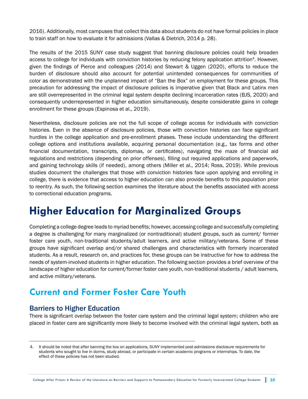2016). Additionally, most campuses that collect this data about students do not have formal policies in place to train staff on how to evaluate it for admissions (Vallas & Dietrich, 2014 p. 28).

The results of the 2015 SUNY case study suggest that banning disclosure policies could help broaden access to college for individuals with conviction histories by reducing felony application attrition<sup>4</sup>. However, given the findings of Pierce and colleagues (2014) and Stewart & Uggen (2020), efforts to reduce the burden of disclosure should also account for potential unintended consequences for communities of color as demonstrated with the unplanned impact of "Ban the Box" on employment for these groups. This precaution for addressing the impact of disclosure policies is imperative given that Black and Latinx men are still overrepresented in the criminal legal system despite declining incarceration rates (BJS, 2020) and consequently underrepresented in higher education simultaneously, despite considerable gains in college enrollment for these groups (Espinosa et al., 2019).

Nevertheless, disclosure policies are not the full scope of college access for individuals with conviction histories. Even in the absence of disclosure policies, those with conviction histories can face significant hurdles in the college application and pre-enrollment phases. These include understanding the different college options and institutions available, acquiring personal documentation (e.g., tax forms and other financial documentation, transcripts, diplomas, or certificates), navigating the maze of financial aid regulations and restrictions (depending on prior offenses), filling out required applications and paperwork, and gaining technology skills (if needed), among others (Miller et al., 2014; Ross, 2019). While previous studies document the challenges that those with conviction histories face upon applying and enrolling in college, there is evidence that access to higher education can also provide benefits to this population prior to reentry. As such, the following section examines the literature about the benefits associated with access to correctional education programs.

# **Higher Education for Marginalized Groups**

Completing a college degree leads to myriad benefits; however, accessing college and successfully completing a degree is challenging for many marginalized (or nontraditional) student groups, such as current/ former foster care youth, non-traditional students/adult learners, and active military/veterans. Some of these groups have significant overlap and/or shared challenges and characteristics with formerly incarcerated students. As a result, research on, and practices for, these groups can be instructive for how to address the needs of system-involved students in higher education. The following section provides a brief overview of the landscape of higher education for current/former foster care youth, non-traditional students / adult learners, and active military/veterans.

## **Current and Former Foster Care Youth**

## Barriers to Higher Education

There is significant overlap between the foster care system and the criminal legal system; children who are placed in foster care are significantly more likely to become involved with the criminal legal system, both as

<sup>4.</sup> It should be noted that after banning the box on applications, SUNY implemented post-admissions disclosure requirements for students who sought to live in dorms, study abroad, or participate in certain academic programs or internships. To date, the effect of these policies has not been studied.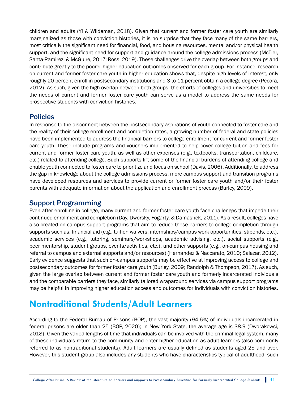children and adults (Yi & Wildeman, 2018). Given that current and former foster care youth are similarly marginalized as those with conviction histories, it is no surprise that they face many of the same barriers, most critically the significant need for financial, food, and housing resources, mental and/or physical health support, and the significant need for support and guidance around the college admissions process (McTier, Santa-Ramirez, & McGuire, 2017; Ross, 2019). These challenges drive the overlap between both groups and contribute greatly to the poorer higher education outcomes observed for each group. For instance, research on current and former foster care youth in higher education shows that, despite high levels of interest, only roughly 20 percent enroll in postsecondary institutions and 3 to 11 percent obtain a college degree (Pecora, 2012). As such, given the high overlap between both groups, the efforts of colleges and universities to meet the needs of current and former foster care youth can serve as a model to address the same needs for prospective students with conviction histories.

## Policies

In response to the disconnect between the postsecondary aspirations of youth connected to foster care and the reality of their college enrollment and completion rates, a growing number of federal and state policies have been implemented to address the financial barriers to college enrollment for current and former foster care youth. These include programs and vouchers implemented to help cover college tuition and fees for current and former foster care youth, as well as other expenses (e.g., textbooks, transportation, childcare, etc.) related to attending college. Such supports lift some of the financial burdens of attending college and enable youth connected to foster care to prioritize and focus on school (Davis, 2006). Additionally, to address the gap in knowledge about the college admissions process, more campus support and transition programs have developed resources and services to provide current or former foster care youth and/or their foster parents with adequate information about the application and enrollment process (Burley, 2009).

## Support Programming

Even after enrolling in college, many current and former foster care youth face challenges that impede their continued enrollment and completion (Day, Dworsky, Fogarty, & Damashek, 2011). As a result, colleges have also created on-campus support programs that aim to reduce these barriers to college completion through supports such as: financial aid (e.g., tuition waivers, internships/campus work opportunities, stipends, etc.), academic services (e.g., tutoring, seminars/workshops, academic advising, etc.), social supports (e.g., peer mentorship, student groups, events/activities, etc.), and other supports (e.g., on-campus housing and referral to campus and external supports and/or resources) (Hernandez & Naccarato, 2010; Salazar, 2012). Early evidence suggests that such on-campus supports may be effective at improving access to college and postsecondary outcomes for former foster care youth (Burley, 2009; Randolph & Thompson, 2017). As such, given the large overlap between current and former foster care youth and formerly incarcerated individuals and the comparable barriers they face, similarly tailored wraparound services via campus support programs may be helpful in improving higher education access and outcomes for individuals with conviction histories.

## **Nontraditional Students/Adult Learners**

According to the Federal Bureau of Prisons (BOP), the vast majority (94.6%) of individuals incarcerated in federal prisons are older than 25 (BOP, 2020); in New York State, the average age is 38.9 (Dworakowsi, 2018). Given the varied lengths of time that individuals can be involved with the criminal legal system, many of these individuals return to the community and enter higher education as adult learners (also commonly referred to as nontraditional students). Adult learners are usually defined as students aged 25 and over. However, this student group also includes any students who have characteristics typical of adulthood, such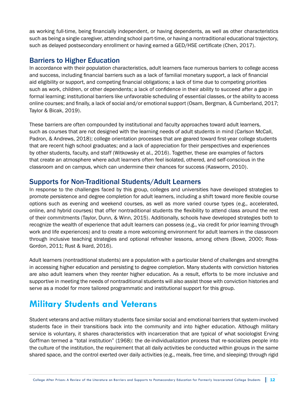as working full-time, being financially independent, or having dependents, as well as other characteristics such as being a single caregiver, attending school part-time, or having a nontraditional educational trajectory, such as delayed postsecondary enrollment or having earned a GED/HSE certificate (Chen, 2017).

## Barriers to Higher Education

In accordance with their population characteristics, adult learners face numerous barriers to college access and success, including financial barriers such as a lack of familial monetary support, a lack of financial aid eligibility or support, and competing financial obligations; a lack of time due to competing priorities such as work, children, or other dependents; a lack of confidence in their ability to succeed after a gap in formal learning; institutional barriers like unfavorable scheduling of essential classes, or the ability to access online courses; and finally, a lack of social and/or emotional support (Osam, Bergman, & Cumberland, 2017; Taylor & Bicak, 2019).

These barriers are often compounded by institutional and faculty approaches toward adult learners, such as courses that are not designed with the learning needs of adult students in mind (Carlson McCall, Padron, & Andrews, 2018); college orientation processes that are geared toward first-year college students that are recent high school graduates; and a lack of appreciation for their perspectives and experiences by other students, faculty, and staff (Witkowsky et al., 2016). Together, these are examples of factors that create an atmosphere where adult learners often feel isolated, othered, and self-conscious in the classroom and on campus, which can undermine their chances for success (Kasworm, 2010).

#### Supports for Non-Traditional Students/Adult Learners

In response to the challenges faced by this group, colleges and universities have developed strategies to promote persistence and degree completion for adult learners, including a shift toward more flexible course options such as evening and weekend courses, as well as more varied course types (e.g., accelerated, online, and hybrid courses) that offer nontraditional students the flexibility to attend class around the rest of their commitments (Taylor, Dunn, & Winn, 2015). Additionally, schools have developed strategies both to recognize the wealth of experience that adult learners can possess (e.g., via credit for prior learning through work and life experiences) and to create a more welcoming environment for adult learners in the classroom through inclusive teaching strategies and optional refresher lessons, among others (Bowe, 2000; Ross-Gordon, 2011; Rust & Ikard, 2016).

Adult learners (nontraditional students) are a population with a particular blend of challenges and strengths in accessing higher education and persisting to degree completion. Many students with conviction histories are also adult learners when they reenter higher education. As a result, efforts to be more inclusive and supportive in meeting the needs of nontraditional students will also assist those with conviction histories and serve as a model for more tailored programmatic and institutional support for this group.

## **Military Students and Veterans**

Student veterans and active military students face similar social and emotional barriers that system-involved students face in their transitions back into the community and into higher education. Although military service is voluntary, it shares characteristics with incarceration that are typical of what sociologist Erving Goffman termed a "total institution" (1968): the de-individualization process that re-socializes people into the culture of the institution, the requirement that all daily activities be conducted within groups in the same shared space, and the control exerted over daily activities (e.g., meals, free time, and sleeping) through rigid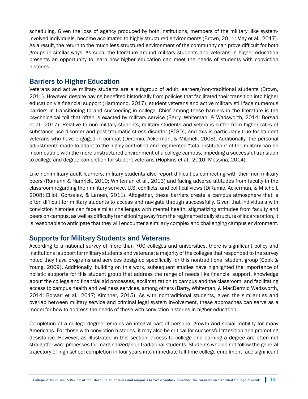scheduling. Given the loss of agency produced by both institutions, members of the military, like systeminvolved individuals, become acclimated to highly structured environments (Brown, 2011; May et al., 2017). As a result, the return to the much less structured environment of the community can prove difficult for both groups in similar ways. As such, the literature around military students and veterans in higher education presents an opportunity to learn how higher education can meet the needs of students with conviction histories.

## Barriers to Higher Education

Veterans and active military students are a subgroup of adult learners/non-traditional students (Brown, 2011). However, despite having benefited historically from policies that facilitated their transition into higher education via financial support (Hammond, 2017), student veterans and active military still face numerous barriers in transitioning to and succeeding in college. Chief among these barriers in the literature is the psychological toll that often is exacted by military service (Barry, Whiteman, & Wadsworth, 2014; Borsari et al., 2017). Relative to non-military students, military students and veterans suffer from higher rates of substance use disorder and post-traumatic stress disorder (PTSD), and this is particularly true for student veterans who have engaged in combat (DiRamio, Ackerman, & Mitchell, 2008). Additionally, the personal adjustments made to adapt to the highly controlled and regimented "total institution" of the military can be incompatible with the more unstructured environment of a college campus, impeding a successful transition to college and degree completion for student veterans (Hopkins et al., 2010; Messina, 2014).

Like non-military adult learners, military students also report difficulties connecting with their non-military peers (Rumann & Hamrick, 2010; Whiteman et al., 2013) and facing adverse attitudes from faculty in the classroom regarding their military service, U.S. conflicts, and political views (DiRamio, Ackerman, & Mitchell, 2008; Elliot, Gonzalez, & Larsen, 2011). Altogether, these barriers create a campus atmosphere that is often difficult for military students to access and navigate through successfully. Given that individuals with conviction histories can face similar challenges with mental health, stigmatizing attitudes from faculty and peers on campus, as well as difficulty transitioning away from the regimented daily structure of incarceration, it is reasonable to anticipate that they will encounter a similarly complex and challenging campus environment.

## Supports for Military Students and Veterans

According to a national survey of more than 700 colleges and universities, there is significant policy and institutional support for military students and veterans; a majority of the colleges that responded to the survey noted they have programs and services designed specifically for this nontraditional student group (Cook & Young, 2009). Additionally, building on this work, subsequent studies have highlighted the importance of holistic supports for this student group that address the range of needs like financial support, knowledge about the college and financial aid processes, acclimatization to campus and the classroom, and facilitating access to campus health and wellness services, among others (Barry, Whiteman, & MacDermid Wadsworth, 2014; Borsari et al., 2017; Kirchner, 2015). As with nontraditional students, given the similarities and overlap between military service and criminal legal system involvement, these approaches can serve as a model for how to address the needs of those with conviction histories in higher education.

Completion of a college degree remains an integral part of personal growth and social mobility for many Americans. For those with conviction histories, it may also be critical for successful transition and promoting desistance. However, as illustrated in this section, access to college and earning a degree are often not straightforward processes for marginalized/non-traditional students. Students who do not follow the general trajectory of high school completion in four years into immediate full-time college enrollment face significant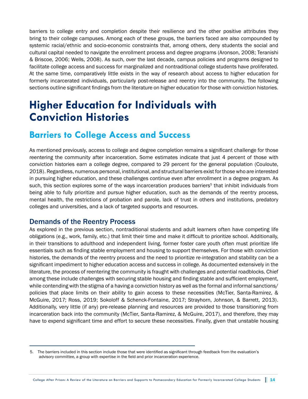barriers to college entry and completion despite their resilience and the other positive attributes they bring to their college campuses. Among each of these groups, the barriers faced are also compounded by systemic racial/ethnic and socio-economic constraints that, among others, deny students the social and cultural capital needed to navigate the enrollment process and degree programs (Aronson, 2008; Teranishi & Briscoe, 2006; Wells, 2008). As such, over the last decade, campus policies and programs designed to facilitate college access and success for marginalized and nontraditional college students have proliferated. At the same time, comparatively little exists in the way of research about access to higher education for formerly incarcerated individuals, particularly post-release and reentry into the community. The following sections outline significant findings from the literature on higher education for those with conviction histories.

# **Higher Education for Individuals with Conviction Histories**

## **Barriers to College Access and Success**

As mentioned previously, access to college and degree completion remains a significant challenge for those reentering the community after incarceration. Some estimates indicate that just 4 percent of those with conviction histories earn a college degree, compared to 29 percent for the general population (Couloute, 2018). Regardless, numerous personal, institutional, and structural barriers exist for those who are interested in pursuing higher education, and these challenges continue even after enrollment in a degree program. As such, this section explores some of the ways incarceration produces barriers<sup>5</sup> that inhibit individuals from being able to fully prioritize and pursue higher education, such as the demands of the reentry process, mental health, the restrictions of probation and parole, lack of trust in others and institutions, predatory colleges and universities, and a lack of targeted supports and resources.

#### Demands of the Reentry Process

As explored in the previous section, nontraditional students and adult learners often have competing life obligations (e.g., work, family, etc.) that limit their time and make it difficult to prioritize school. Additionally, in their transitions to adulthood and independent living, former foster care youth often must prioritize life essentials such as finding stable employment and housing to support themselves. For those with conviction histories, the demands of the reentry process and the need to prioritize re-integration and stability can be a significant impediment to higher education access and success in college. As documented extensively in the literature, the process of reentering the community is fraught with challenges and potential roadblocks. Chief among these include challenges with securing stable housing and finding stable and sufficient employment, while contending with the stigma of a having a conviction history as well as the formal and informal sanctions/ policies that place limits on their ability to gain access to these necessities (McTier, Santa-Ramirez, & McGuire, 2017; Ross, 2019; Sokoloff & Schenck-Fontaine, 2017; Strayhorn, Johnson, & Barrett, 2013). Additionally, very little (if any) pre-release planning and resources are provided to those transitioning from incarceration back into the community (McTier, Santa-Ramirez, & McGuire, 2017), and therefore, they may have to expend significant time and effort to secure these necessities. Finally, given that unstable housing

<sup>5.</sup> The barriers included in this section include those that were identified as significant through feedback from the evaluation's advisory committee, a group with expertise in the field and prior incarceration experience.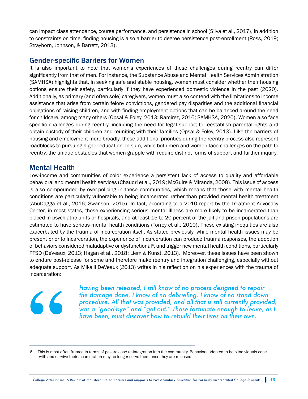can impact class attendance, course performance, and persistence in school (Silva et al., 2017), in addition to constraints on time, finding housing is also a barrier to degree persistence post-enrollment (Ross, 2019; Strayhorn, Johnson, & Barrett, 2013).

## Gender-specific Barriers for Women

It is also important to note that women's experiences of these challenges during reentry can differ significantly from that of men. For instance, the Substance Abuse and Mental Health Services Administration (SAMHSA) highlights that, in seeking safe and stable housing, women must consider whether their housing options ensure their safety, particularly if they have experienced domestic violence in the past (2020). Additionally, as primary (and often sole) caregivers, women must also contend with the limitations to income assistance that arise from certain felony convictions, gendered pay disparities and the additional financial obligations of raising children, and with finding employment options that can be balanced around the need for childcare, among many others (Opsal & Foley, 2013; Ramirez, 2016; SAMHSA, 2020). Women also face specific challenges during reentry, including the need for legal support to reestablish parental rights and obtain custody of their children and reuniting with their families (Opsal & Foley, 2013). Like the barriers of housing and employment more broadly, these additional priorities during the reentry process also represent roadblocks to pursuing higher education. In sum, while both men and women face challenges on the path to reentry, the unique obstacles that women grapple with require distinct forms of support and further inquiry.

#### Mental Health

Low-income and communities of color experience a persistent lack of access to quality and affordable behavioral and mental health services (Chaudri et al., 2019; McGuire & Miranda, 2008). This issue of access is also compounded by over-policing in these communities, which means that those with mental health conditions are particularly vulnerable to being incarcerated rather than provided mental health treatment (AbuDagga et al., 2016; Swanson, 2015). In fact, according to a 2010 report by the Treatment Advocacy Center, in most states, those experiencing serious mental illness are more likely to be incarcerated than placed in psychiatric units or hospitals, and at least 15 to 20 percent of the jail and prison populations are estimated to have serious mental health conditions (Torrey et al., 2010). These existing inequities are also exacerbated by the trauma of incarceration itself. As stated previously, while mental health issues may be present prior to incarceration, the experience of incarceration can produce trauma responses, the adoption of behaviors considered maladaptive or dysfunctional<sup>6</sup>, and trigger new mental health conditions, particularly PTSD (DeVeaux, 2013; Hagan et al., 2018; Liem & Kunst, 2013). Moreover, these issues have been shown to endure post-release for some and therefore make reentry and integration challenging, especially without adequate support. As Mika'il DeVeaux (2013) writes in his reflection on his experiences with the trauma of incarceration:



*Having been released, I still know of no process designed to repair the damage done. I know of no debriefing. I know of no stand down procedure. All that was provided, and all that is still currently provided, was a "good-bye" and "get out." Those fortunate enough to leave, as I have been, must discover how to rebuild their lives on their own.*

<sup>6.</sup> This is most often framed in terms of post-release re-integration into the community. Behaviors adopted to help individuals cope with and survive their incarceration may no longer serve them once they are released.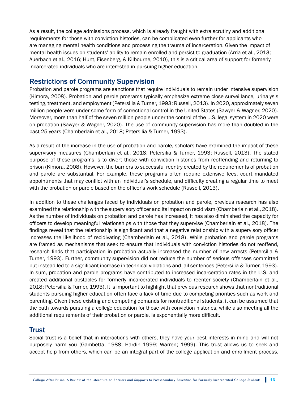As a result, the college admissions process, which is already fraught with extra scrutiny and additional requirements for those with conviction histories, can be complicated even further for applicants who are managing mental health conditions and processing the trauma of incarceration. Given the impact of mental health issues on students' ability to remain enrolled and persist to graduation (Arria et al., 2013; Auerbach et al., 2016; Hunt, Eisenberg, & Kilbourne, 2010), this is a critical area of support for formerly incarcerated individuals who are interested in pursuing higher education.

#### Restrictions of Community Supervision

Probation and parole programs are sanctions that require individuals to remain under intensive supervision (Kimora, 2008). Probation and parole programs typically emphasize extreme close surveillance, urinalysis testing, treatment, and employment (Petersilia & Turner, 1993; Russell, 2013). In 2020, approximately seven million people were under some form of correctional control in the United States (Sawyer & Wagner, 2020). Moreover, more than half of the seven million people under the control of the U.S. legal system in 2020 were on probation (Sawyer & Wagner, 2020). The use of community supervision has more than doubled in the past 25 years (Chamberlain et al., 2018; Petersilia & Turner, 1993).

As a result of the increase in the use of probation and parole, scholars have examined the impact of these supervisory measures (Chamberlain et al., 2018; Petersilia & Turner, 1993; Russell, 2013). The stated purpose of these programs is to divert those with conviction histories from reoffending and returning to prison (Kimora, 2008). However, the barriers to successful reentry created by the requirements of probation and parole are substantial. For example, these programs often require extensive fees, court mandated appointments that may conflict with an individual's schedule, and difficulty creating a regular time to meet with the probation or parole based on the officer's work schedule (Russell, 2013).

In addition to these challenges faced by individuals on probation and parole, previous research has also examined the relationship with the supervisory officer and its impact on recidivism (Chamberlain et al., 2018). As the number of individuals on probation and parole has increased, it has also diminished the capacity for officers to develop meaningful relationships with those that they supervise (Chamberlain et al., 2018). The findings reveal that the relationship is significant and that a negative relationship with a supervisory officer increases the likelihood of recidivating (Chamberlain et al., 2018). While probation and parole programs are framed as mechanisms that seek to ensure that individuals with conviction histories do not reoffend, research finds that participation in probation actually increased the number of new arrests (Petersilia & Turner, 1993). Further, community supervision did not reduce the number of serious offenses committed but instead led to a significant increase in technical violations and jail sentences (Petersilia & Turner, 1993). In sum, probation and parole programs have contributed to increased incarceration rates in the U.S. and created additional obstacles for formerly incarcerated individuals to reenter society (Chamberlain et al., 2018; Petersilia & Turner, 1993). It is important to highlight that previous research shows that nontraditional students pursuing higher education often face a lack of time due to competing priorities such as work and parenting. Given these existing and competing demands for nontraditional students, it can be assumed that the path towards pursuing a college education for those with conviction histories, while also meeting all the additional requirements of their probation or parole, is exponentially more difficult.

## **Trust**

Social trust is a belief that in interactions with others, they have your best interests in mind and will not purposely harm you (Gambetta, 1988; Hardin 1999; Warren; 1999). This trust allows us to seek and accept help from others, which can be an integral part of the college application and enrollment process.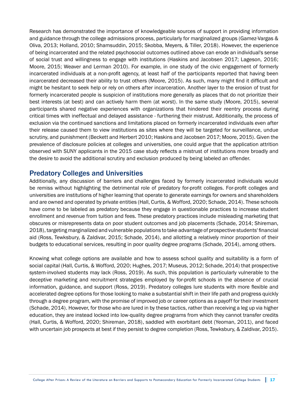Research has demonstrated the importance of knowledgeable sources of support in providing information and guidance through the college admissions process, particularly for marginalized groups (Gamez-Vargas & Oliva, 2013; Holland, 2010; Shamsuddin, 2015; Skobba, Meyers, & Tiller, 2018). However, the experience of being incarcerated and the related psychosocial outcomes outlined above can erode an individual's sense of social trust and willingness to engage with institutions (Haskins and Jacobsen 2017; Lageson, 2016; Moore, 2015; Weaver and Lerman 2010). For example, in one study of the civic engagement of formerly incarcerated individuals at a non-profit agency, at least half of the participants reported that having been incarcerated decreased their ability to trust others (Moore, 2015). As such, many might find it difficult and might be hesitant to seek help or rely on others after incarceration. Another layer to the erosion of trust for formerly incarcerated people is suspicion of institutions more generally as places that do not prioritize their best interests (at best) and can actively harm them (at worst). In the same study (Moore, 2015), several participants shared negative experiences with organizations that hindered their reentry process during critical times with ineffectual and delayed assistance - furthering their mistrust. Additionally, the process of exclusion via the continued sanctions and limitations placed on formerly incarcerated individuals even after their release caused them to view institutions as sites where they will be targeted for surveillance, undue scrutiny, and punishment (Beckett and Herbert 2010; Haskins and Jacobsen 2017; Moore, 2015). Given the prevalence of disclosure policies at colleges and universities, one could argue that the application attrition observed with SUNY applicants in the 2015 case study reflects a mistrust of institutions more broadly and the desire to avoid the additional scrutiny and exclusion produced by being labeled an offender.

#### Predatory Colleges and Universities

Additionally, any discussion of barriers and challenges faced by formerly incarcerated individuals would be remiss without highlighting the detrimental role of predatory for-profit colleges. For-profit colleges and universities are institutions of higher learning that operate to generate earnings for owners and shareholders and are owned and operated by private entities (Hall, Curtis, & Wofford, 2020; Schade, 2014). These schools have come to be labeled as predatory because they engage in questionable practices to increase student enrollment and revenue from tuition and fees. These predatory practices include misleading marketing that obscures or misrepresents data on poor student outcomes and job placements (Schade, 2014; Shireman, 2018), targeting marginalized and vulnerable populations to take advantage of prospective students' financial aid (Ross, Tewksbury, & Zaldivar, 2015; Schade, 2014), and allotting a relatively minor proportion of their budgets to educational services, resulting in poor quality degree programs (Schade, 2014), among others.

Knowing what college options are available and how to assess school quality and suitability is a form of social capital (Hall, Curtis, & Wofford, 2020; Hughes, 2017; Museus, 2012; Schade, 2014) that prospective system-involved students may lack (Ross, 2019). As such, this population is particularly vulnerable to the deceptive marketing and recruitment strategies employed by for-profit schools in the absence of crucial information, guidance, and support (Ross, 2019). Predatory colleges lure students with more flexible and accelerated degree options for those looking to make a substantial shift in their life path and progress quickly through a degree program, with the promise of improved job or career options as a payoff for their investment (Schade, 2014). However, for those who are lured in by these tactics, rather than receiving a leg up via higher education, they are instead locked into low-quality degree programs from which they cannot transfer credits (Hall, Curtis, & Wofford, 2020; Shireman, 2018), saddled with exorbitant debt (Yeoman, 2011), and faced with uncertain job prospects at best if they persist to degree completion (Ross, Tewksbury, & Zaldivar, 2015).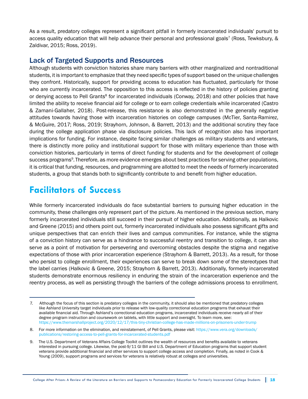As a result, predatory colleges represent a significant pitfall in formerly incarcerated individuals' pursuit to access quality education that will help advance their personal and professional goals<sup>7</sup> (Ross, Tewksbury,  $\&$ Zaldivar, 2015; Ross, 2019).

#### Lack of Targeted Supports and Resources

Although students with conviction histories share many barriers with other marginalized and nontraditional students, it is important to emphasize that they need specific types of support based on the unique challenges they confront. Historically, support for providing access to education has fluctuated, particularly for those who are currently incarcerated. The opposition to this access is reflected in the history of policies granting or denying access to Pell Grants<sup>8</sup> for incarcerated individuals (Conway, 2018) and other policies that have limited the ability to receive financial aid for college or to earn college credentials while incarcerated (Castro & Zamani-Gallaher, 2018). Post-release, this resistance is also demonstrated in the generally negative attitudes towards having those with incarceration histories on college campuses (McTier, Santa-Ramirez, & McGuire, 2017; Ross, 2019; Strayhorn, Johnson, & Barrett, 2013) and the additional scrutiny they face during the college application phase via disclosure policies. This lack of recognition also has important implications for funding. For instance, despite facing similar challenges as military students and veterans, there is distinctly more policy and institutional support for those with military experience than those with conviction histories, particularly in terms of direct funding for students and for the development of college success programs<sup>9</sup>. Therefore, as more evidence emerges about best practices for serving other populations, it is critical that funding, resources, and programming are allotted to meet the needs of formerly incarcerated students, a group that stands both to significantly contribute to and benefit from higher education.

## **Facilitators of Success**

While formerly incarcerated individuals do face substantial barriers to pursuing higher education in the community, these challenges only represent part of the picture. As mentioned in the previous section, many formerly incarcerated individuals still succeed in their pursuit of higher education. Additionally, as Halkovic and Greene (2015) and others point out, formerly incarcerated individuals also possess significant gifts and unique perspectives that can enrich their lives and campus communities. For instance, while the stigma of a conviction history can serve as a hindrance to successful reentry and transition to college, it can also serve as a point of motivation for persevering and overcoming obstacles despite the stigma and negative expectations of those with prior incarceration experience (Strayhorn & Barrett, 2013). As a result, for those who persist to college enrollment, their experiences can serve to break down some of the stereotypes that the label carries (Halkovic & Greene, 2015; Strayhorn & Barrett, 2013). Additionally, formerly incarcerated students demonstrate enormous resiliency in enduring the strain of the incarceration experience and the reentry process, as well as persisting through the barriers of the college admissions process to enrollment.

<sup>7.</sup> Although the focus of this section is predatory colleges in the community, it should also be mentioned that predatory colleges like Ashland University target individuals prior to release with low-quality correctional education programs that exhaust their available financial aid. Through Ashland's correctional education programs, incarcerated individuals receive nearly all of their degree program instruction and coursework on tablets, with little support and oversight. To learn more, see: https://www.themarshallproject.org/2020/12/17/this-tiny-christian-college-has-made-millions-on-prisoners-under-trump

<sup>8.</sup> For more information on the elimination, and reinstatement, of Pell Grants, please visit: [https://www.vera.org/downloads/](https://www.vera.org/downloads/publications/restoring-access-to-pell-grants-for-incarcerated-students.pdf) [publications/restoring-access-to-pell-grants-for-incarcerated-students.pdf](https://www.vera.org/downloads/publications/restoring-access-to-pell-grants-for-incarcerated-students.pdf)

<sup>9.</sup> The U.S. Department of Veterans Affairs College Toolkit outlines the wealth of resources and benefits available to veterans interested in pursuing college. Likewise, the post-9/11 GI Bill and U.S. Department of Education programs that support student veterans provide additional financial and other services to support college access and completion. Finally, as noted in Cook & Young (2009), support programs and services for veterans is relatively robust at colleges and universities.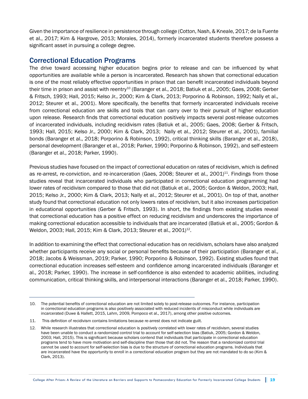Given the importance of resilience in persistence through college (Cotton, Nash, & Kneale, 2017; de la Fuente et al., 2017; Kim & Hargrove, 2013; Morales, 2014), formerly incarcerated students therefore possess a significant asset in pursuing a college degree.

## Correctional Education Programs

The drive toward accessing higher education begins prior to release and can be influenced by what opportunities are available while a person is incarcerated. Research has shown that correctional education is one of the most reliably effective opportunities in prison that can benefit incarcerated individuals beyond their time in prison and assist with reentry<sup>10</sup> (Baranger et al., 2018; Batiuk et al., 2005; Gaes, 2008; Gerber & Fritsch, 1993; Hall, 2015; Kelso Jr., 2000; Kim & Clark, 2013; Porporino & Robinson, 1992; Nally et al., 2012; Steurer et al., 2001). More specifically, the benefits that formerly incarcerated individuals receive from correctional education are skills and tools that can carry over to their pursuit of higher education upon release. Research finds that correctional education positively impacts several post-release outcomes of incarcerated individuals, including recidivism rates (Batiuk et al., 2005; Gaes, 2008; Gerber & Fritsch, 1993; Hall, 2015; Kelso Jr., 2000; Kim & Clark, 2013; Nally et al., 2012; Steurer et al., 2001), familial bonds (Baranger et al., 2018; Porporino & Robinson, 1992), critical thinking skills (Baranger et al., 2018), personal development (Baranger et al., 2018; Parker, 1990; Porporino & Robinson, 1992), and self-esteem (Baranger et al., 2018; Parker, 1990).

Previous studies have focused on the impact of correctional education on rates of recidivism, which is defined as re-arrest, re-conviction, and re-incarceration (Gaes, 2008; Steurer et al., 2001)<sup>11</sup>. Findings from those studies reveal that incarcerated individuals who participated in correctional education programming had lower rates of recidivism compared to those that did not (Batiuk et al., 2005; Gordon & Weldon, 2003; Hall, 2015; Kelso Jr., 2000; Kim & Clark, 2013; Nally et al., 2012; Steurer et al., 2001). On top of that, another study found that correctional education not only lowers rates of recidivism, but it also increases participation in educational opportunities (Gerber & Fritsch, 1993). In short, the findings from existing studies reveal that correctional education has a positive effect on reducing recidivism and underscores the importance of making correctional education accessible to individuals that are incarcerated (Batiuk et al., 2005; Gordon & Weldon, 2003; Hall, 2015; Kim & Clark, 2013; Steurer et al., 2001)<sup>12</sup>.

In addition to examining the effect that correctional education has on recidivism, scholars have also analyzed whether participants receive any social or personal benefits because of their participation (Baranger et al., 2018; Jacobs & Weissman, 2019; Parker, 1990; Porporino & Robinson, 1992). Existing studies found that correctional education increases self-esteem and confidence among incarcerated individuals (Baranger et al., 2018; Parker, 1990). The increase in self-confidence is also extended to academic abilities, including communication, critical thinking skills, and interpersonal interactions (Baranger et al., 2018; Parker, 1990).

<sup>10.</sup> The potential benefits of correctional education are not limited solely to post-release outcomes. For instance, participation in correctional education programs is also positively associated with reduced incidents of misconduct while individuals are incarcerated (Duwe & Hallett, 2015, Lahm, 2009, Pompoco et al., 2017), among other positive outcomes.

<sup>11.</sup> This definition of recidivism contains limitations because re-arrest does not indicate guilt.

<sup>12.</sup> While research illustrates that correctional education is positively correlated with lower rates of recidivism, several studies have been unable to conduct a randomized control trial to account for self-selection bias (Batiuk, 2005; Gordon & Weldon, 2003; Hall, 2015). This is significant because scholars contend that individuals that participate in correctional education programs tend to have more motivation and self-discipline than those that did not. The reason that a randomized control trial cannot be used to account for self-selection bias is due to the structure of correctional education programs. Individuals that are incarcerated have the opportunity to enroll in a correctional education program but they are not mandated to do so (Kim & Clark, 2013).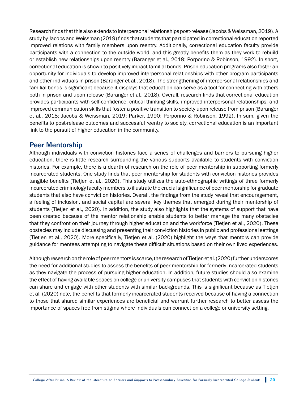Research finds that this also extends to interpersonal relationships post-release (Jacobs & Weissman, 2019). A study by Jacobs and Weissman (2019) finds that students that participated in correctional education reported improved relations with family members upon reentry. Additionally, correctional education faculty provide participants with a connection to the outside world, and this greatly benefits them as they work to rebuild or establish new relationships upon reentry (Baranger et al., 2018; Porporino & Robinson, 1992). In short, correctional education is shown to positively impact familial bonds. Prison education programs also foster an opportunity for individuals to develop improved interpersonal relationships with other program participants and other individuals in prison (Baranger et al., 2018). The strengthening of interpersonal relationships and familial bonds is significant because it displays that education can serve as a tool for connecting with others both in prison and upon release (Baranger et al., 2018). Overall, research finds that correctional education provides participants with self-confidence, critical thinking skills, improved interpersonal relationships, and improved communication skills that foster a positive transition to society upon release from prison (Baranger et al., 2018; Jacobs & Weissman, 2019; Parker, 1990; Porporino & Robinson, 1992). In sum, given the benefits to post-release outcomes and successful reentry to society, correctional education is an important link to the pursuit of higher education in the community.

#### Peer Mentorship

Although individuals with conviction histories face a series of challenges and barriers to pursuing higher education, there is little research surrounding the various supports available to students with conviction histories. For example, there is a dearth of research on the role of peer mentorship in supporting formerly incarcerated students. One study finds that peer mentorship for students with conviction histories provides tangible benefits (Tietjen et al., 2020). This study utilizes the auto-ethnographic writings of three formerly incarcerated criminology faculty members to illustrate the crucial significance of peer mentorship for graduate students that also have conviction histories. Overall, the findings from the study reveal that encouragement, a feeling of inclusion, and social capital are several key themes that emerged during their mentorship of students (Tietjen et al., 2020). In addition, the study also highlights that the systems of support that have been created because of the mentor relationship enable students to better manage the many obstacles that they confront on their journey through higher education and the workforce (Tietjen et al., 2020). These obstacles may include discussing and presenting their conviction histories in public and professional settings (Tietjen et al., 2020). More specifically, Tietjen et al. (2020) highlight the ways that mentors can provide guidance for mentees attempting to navigate these difficult situations based on their own lived experiences.

Although research on the role of peer mentors is scarce, the research of Tietjen et al. (2020) further underscores the need for additional studies to assess the benefits of peer mentorship for formerly incarcerated students as they navigate the process of pursuing higher education. In addition, future studies should also examine the effect of having available spaces on college or university campuses that students with conviction histories can share and engage with other students with similar backgrounds. This is significant because as Tietjen et al. (2020) note, the benefits that formerly incarcerated students received because of having a connection to those that shared similar experiences are beneficial and warrant further research to better assess the importance of spaces free from stigma where individuals can connect on a college or university setting.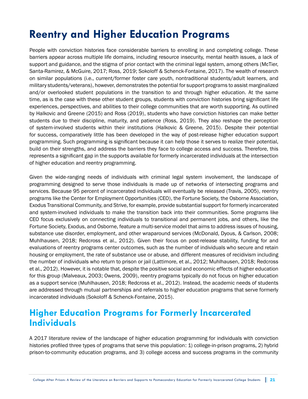# **Reentry and Higher Education Programs**

People with conviction histories face considerable barriers to enrolling in and completing college. These barriers appear across multiple life domains, including resource insecurity, mental health issues, a lack of support and guidance, and the stigma of prior contact with the criminal legal system, among others (McTier, Santa-Ramirez, & McGuire, 2017; Ross, 2019; Sokoloff & Schenck-Fontaine, 2017). The wealth of research on similar populations (i.e., current/former foster care youth, nontraditional students/adult learners, and military students/veterans), however, demonstrates the potential for support programs to assist marginalized and/or overlooked student populations in the transition to and through higher education. At the same time, as is the case with these other student groups, students with conviction histories bring significant life experiences, perspectives, and abilities to their college communities that are worth supporting. As outlined by Halkovic and Greene (2015) and Ross (2019), students who have conviction histories can make better students due to their discipline, maturity, and patience (Ross, 2019). They also reshape the perception of system-involved students within their institutions (Halkovic & Greene, 2015). Despite their potential for success, comparatively little has been developed in the way of post-release higher education support programming. Such programming is significant because it can help those it serves to realize their potential, build on their strengths, and address the barriers they face to college access and success. Therefore, this represents a significant gap in the supports available for formerly incarcerated individuals at the intersection of higher education and reentry programming.

Given the wide-ranging needs of individuals with criminal legal system involvement, the landscape of programming designed to serve those individuals is made up of networks of intersecting programs and services. Because 95 percent of incarcerated individuals will eventually be released (Travis, 2005), reentry programs like the Center for Employment Opportunities (CEO), the Fortune Society, the Osborne Association, Exodus Transitional Community, and Strive, for example, provide substantial support for formerly incarcerated and system-involved individuals to make the transition back into their communities. Some programs like CEO focus exclusively on connecting individuals to transitional and permanent jobs, and others, like the Fortune Society, Exodus, and Osborne, feature a multi-service model that aims to address issues of housing, substance use disorder, employment, and other wraparound services (McDonald, Dyous, & Carlson, 2008; Muhlhausen, 2018; Redcross et al., 2012). Given their focus on post-release stability, funding for and evaluations of reentry programs center outcomes, such as the number of individuals who secure and retain housing or employment, the rate of substance use or abuse, and different measures of recidivism including the number of individuals who return to prison or jail (Lattimore, et al., 2012; Muhlhausen, 2018; Redcross et al., 2012). However, it is notable that, despite the positive social and economic effects of higher education for this group (Malveaux, 2003; Owens, 2009), reentry programs typically do not focus on higher education as a support service (Muhlhausen, 2018; Redcross et al., 2012). Instead, the academic needs of students are addressed through mutual partnerships and referrals to higher education programs that serve formerly incarcerated individuals (Sokoloff & Schenck-Fontaine, 2015).

## **Higher Education Programs for Formerly Incarcerated Individuals**

A 2017 literature review of the landscape of higher education programming for individuals with conviction histories profiled three types of programs that serve this population: 1) college-in-prison programs, 2) hybrid prison-to-community education programs, and 3) college access and success programs in the community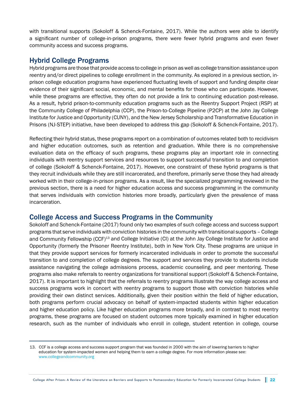with transitional supports (Sokoloff & Schenck-Fontaine, 2017). While the authors were able to identify a significant number of college-in-prison programs, there were fewer hybrid programs and even fewer community access and success programs.

## Hybrid College Programs

Hybrid programs are those that provide access to college in prison as well as college transition assistance upon reentry and/or direct pipelines to college enrollment in the community. As explored in a previous section, inprison college education programs have experienced fluctuating levels of support and funding despite clear evidence of their significant social, economic, and mental benefits for those who can participate. However, while these programs are effective, they often do not provide a link to continuing education post-release. As a result, hybrid prison-to-community education programs such as the Reentry Support Project (RSP) at the Community College of Philadelphia (CCP), the Prison-to-College Pipeline (P2CP) at the John Jay College Institute for Justice and Opportunity (CUNY), and the New Jersey Scholarship and Transformative Education in Prisons (NJ-STEP) initiative, have been developed to address this gap (Sokoloff & Schenck-Fontaine, 2017).

Reflecting their hybrid status, these programs report on a combination of outcomes related both to recidivism and higher education outcomes, such as retention and graduation. While there is no comprehensive evaluation data on the efficacy of such programs, these programs play an important role in connecting individuals with reentry support services and resources to support successful transition to and completion of college (Sokoloff & Schenck-Fontaine, 2017). However, one constraint of these hybrid programs is that they recruit individuals while they are still incarcerated, and therefore, primarily serve those they had already worked with in their college-in-prison programs. As a result, like the specialized programming reviewed in the previous section, there is a need for higher education access and success programming in the community that serves individuals with conviction histories more broadly, particularly given the prevalence of mass incarceration.

#### College Access and Success Programs in the Community

Sokoloff and Schenck-Fontaine (2017) found only two examples of such college access and success support programs that serve individuals with conviction histories in the community with transitional supports – College and Community Fellowship (CCF)<sup>13</sup> and College Initiative (CI) at the John Jay College Institute for Justice and Opportunity (formerly the Prisoner Reentry Institute), both in New York City. These programs are unique in that they provide support services for formerly incarcerated individuals in order to promote the successful transition to and completion of college degrees. The support and services they provide to students include assistance navigating the college admissions process, academic counseling, and peer mentoring. These programs also make referrals to reentry organizations for transitional support (Sokoloff & Schenck-Fontaine, 2017). It is important to highlight that the referrals to reentry programs illustrate the way college access and success programs work in concert with reentry programs to support those with conviction histories while providing their own distinct services. Additionally, given their position within the field of higher education, both programs perform crucial advocacy on behalf of system-impacted students within higher education and higher education policy. Like higher education programs more broadly, and in contrast to most reentry programs, these programs are focused on student outcomes more typically examined in higher education research, such as the number of individuals who enroll in college, student retention in college, course

<sup>13.</sup> CCF is a college access and success support program that was founded in 2000 with the aim of lowering barriers to higher education for system-impacted women and helping them to earn a college degree. For more information please see: [www.collegeandcommunity.org](http://www.collegeandcommunity.org)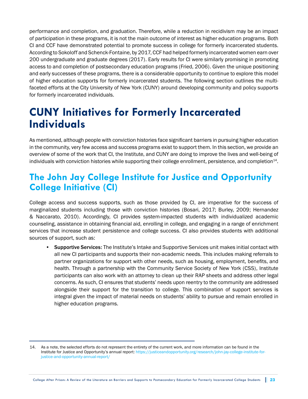performance and completion, and graduation. Therefore, while a reduction in recidivism may be an impact of participation in these programs, it is not the main outcome of interest as higher education programs. Both CI and CCF have demonstrated potential to promote success in college for formerly incarcerated students. According to Sokoloff and Schenck-Fontaine, by 2017, CCF had helped formerly incarcerated women earn over 200 undergraduate and graduate degrees (2017). Early results for CI were similarly promising in promoting access to and completion of postsecondary education programs (Fried, 2006). Given the unique positioning and early successes of these programs, there is a considerable opportunity to continue to explore this model of higher education supports for formerly incarcerated students. The following section outlines the multifaceted efforts at the City University of New York (CUNY) around developing community and policy supports for formerly incarcerated individuals.

# **CUNY Initiatives for Formerly Incarcerated Individuals**

As mentioned, although people with conviction histories face significant barriers in pursuing higher education in the community, very few access and success programs exist to support them. In this section, we provide an overview of some of the work that CI, the Institute, and CUNY are doing to improve the lives and well-being of individuals with conviction histories while supporting their college enrollment, persistence, and completion $^{14}$ .

## **The John Jay College Institute for Justice and Opportunity College Initiative (CI)**

College access and success supports, such as those provided by CI, are imperative for the success of marginalized students including those with conviction histories (Bosari, 2017; Burley, 2009; Hernandez & Naccarato, 2010). Accordingly, CI provides system-impacted students with individualized academic counseling, assistance in obtaining financial aid, enrolling in college, and engaging in a range of enrichment services that increase student persistence and college success. CI also provides students with additional sources of support, such as:

• Supportive Services: The Institute's Intake and Supportive Services unit makes initial contact with all new CI participants and supports their non-academic needs. This includes making referrals to partner organizations for support with other needs, such as housing, employment, benefits, and health. Through a partnership with the Community Service Society of New York (CSS), Institute participants can also work with an attorney to clean up their RAP sheets and address other legal concerns. As such, CI ensures that students' needs upon reentry to the community are addressed alongside their support for the transition to college. This combination of support services is integral given the impact of material needs on students' ability to pursue and remain enrolled in higher education programs.

<sup>14.</sup> As a note, the selected efforts do not represent the entirety of the current work, and more information can be found in the Institute for Justice and Opportunity's annual report: [https://justiceandopportunity.org/research/john-jay-college-institute-for](https://justiceandopportunity.org/research/john-jay-college-institute-for-justice-and-opportunity-an)[justice-and-opportunity-annual-report/](https://justiceandopportunity.org/research/john-jay-college-institute-for-justice-and-opportunity-an)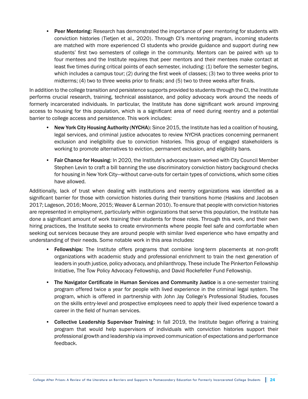• Peer Mentoring: Research has demonstrated the importance of peer mentoring for students with conviction histories (Tietjen et al., 2020). Through CI's mentoring program, incoming students are matched with more experienced CI students who provide guidance and support during new students' first two semesters of college in the community. Mentors can be paired with up to four mentees and the Institute requires that peer mentors and their mentees make contact at least five times during critical points of each semester, including: (1) before the semester begins, which includes a campus tour; (2) during the first week of classes; (3) two to three weeks prior to midterms; (4) two to three weeks prior to finals; and (5) two to three weeks after finals.

In addition to the college transition and persistence supports provided to students through the CI, the Institute performs crucial research, training, technical assistance, and policy advocacy work around the needs of formerly incarcerated individuals. In particular, the Institute has done significant work around improving access to housing for this population, which is a significant area of need during reentry and a potential barrier to college access and persistence. This work includes:

- New York City Housing Authority (NYCHA): Since 2015, the Institute has led a coalition of housing, legal services, and criminal justice advocates to review NYCHA practices concerning permanent exclusion and ineligibility due to conviction histories. This group of engaged stakeholders is working to promote alternatives to eviction, permanent exclusion, and eligibility bans.
- Fair Chance for Housing: In 2020, the Institute's advocacy team worked with City Council Member Stephen Levin to craft a bill banning the use discriminatory conviction history background checks for housing in New York City—without carve-outs for certain types of convictions, which some cities have allowed.

Additionally, lack of trust when dealing with institutions and reentry organizations was identified as a significant barrier for those with conviction histories during their transitions home (Haskins and Jacobsen 2017; Lageson, 2016; Moore, 2015; Weaver & Lerman 2010). To ensure that people with conviction histories are represented in employment, particularly within organizations that serve this population, the Institute has done a significant amount of work training their students for those roles. Through this work, and their own hiring practices, the Institute seeks to create environments where people feel safe and comfortable when seeking out services because they are around people with similar lived experience who have empathy and understanding of their needs. Some notable work in this area includes:

- Fellowships: The Institute offers programs that combine long-term placements at non-profit organizations with academic study and professional enrichment to train the next generation of leaders in youth justice, policy advocacy, and philanthropy. These include The Pinkerton Fellowship Initiative, The Tow Policy Advocacy Fellowship, and David Rockefeller Fund Fellowship.
- The Navigator Certificate in Human Services and Community Justice is a one-semester training program offered twice a year for people with lived experience in the criminal legal system. The program, which is offered in partnership with John Jay College's Professional Studies, focuses on the skills entry-level and prospective employees need to apply their lived experience toward a career in the field of human services.
- Collective Leadership Supervisor Training: In fall 2019, the Institute began offering a training program that would help supervisors of individuals with conviction histories support their professional growth and leadership via improved communication of expectations and performance feedback.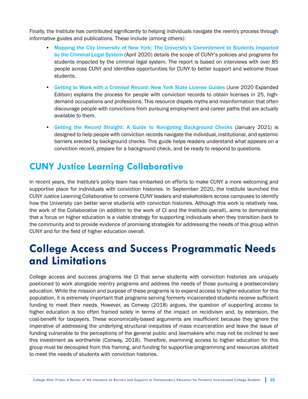Finally, the Institute has contributed significantly to helping individuals navigate the reentry process through informative guides and publications. These include (among others):

- [Mapping the City University of New York: The University's Commitment to Students Impacted](https://justiceandopportunity.org/research/mapping-the-city-university-of-new-york/)  [by the Criminal Legal System](https://justiceandopportunity.org/research/mapping-the-city-university-of-new-york/) (April 2020) details the scope of CUNY's policies and programs for students impacted by the criminal legal system. The report is based on interviews with over 85 people across CUNY and identifies opportunities for CUNY to better support and welcome those students.
- [Getting to Work with a Criminal Record: New York State License Guides](https://justiceandopportunity.org/research/getting-to-work-with-a-criminal-record-new-york-state-license-guides-2020-expanded-edition/) (June 2020 Expanded Edition) explains the process for people with conviction records to obtain licenses in 25, highdemand occupations and professions. This resource dispels myths and misinformation that often discourage people with convictions from pursuing employment and career paths that are actually available to them.
- [Getting the Record Straight: A Guide to Navigating Background Checks](https://justiceandopportunity.org/research/getting-the-record-straight-a-guide-to-navigating-background-checks/) (January 2021) is designed to help people with conviction records navigate the individual, institutional, and systemic barriers erected by background checks. This guide helps readers understand what appears on a conviction record, prepare for a background check, and be ready to respond to questions.

## **CUNY Justice Learning Collaborative**

In recent years, the Institute's policy team has embarked on efforts to make CUNY a more welcoming and supportive place for individuals with conviction histories. In September 2020, the Institute launched the CUNY Justice Learning Collaborative to convene CUNY leaders and stakeholders across campuses to identify how the University can better serve students with conviction histories. Although this work is relatively new, the work of the Collaborative (in addition to the work of CI and the Institute overall), aims to demonstrate that a focus on higher education is a viable strategy for supporting individuals when they transition back to the community and to provide evidence of promising strategies for addressing the needs of this group within CUNY and for the field of higher education overall.

## **College Access and Success Programmatic Needs and Limitations**

College access and success programs like CI that serve students with conviction histories are uniquely positioned to work alongside reentry programs and address the needs of those pursuing a postsecondary education. While the mission and purpose of these programs is to expand access to higher education for this population, it is extremely important that programs serving formerly incarcerated students receive sufficient funding to meet their needs. However, as Conway (2018) argues, the question of supporting access to higher education is too often framed solely in terms of the impact on recidivism and, by extension, the cost-benefit for taxpayers. These economically-based arguments are insufficient because they ignore the imperative of addressing the underlying structural inequities of mass incarceration and leave the issue of funding vulnerable to the perceptions of the general public and lawmakers who may not be inclined to see this investment as worthwhile (Conway, 2018). Therefore, examining access to higher education for this group must be decoupled from this framing, and funding for supportive programming and resources allotted to meet the needs of students with conviction histories.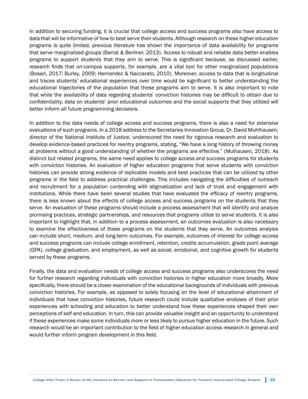In addition to securing funding, it is crucial that college access and success programs also have access to data that will be informative of how to best serve their students. Although research on these higher education programs is quite limited, previous literature has shown the importance of data availability for programs that serve marginalized groups (Barrat & Berliner, 2013). Access to robust and reliable data better enables programs to support students that they aim to serve. This is significant because, as discussed earlier, research finds that on-campus supports, for example, are a vital tool for other marginalized populations (Bosari, 2017; Burley, 2009; Hernandez & Naccarato, 2010). Moreover, access to data that is longitudinal and traces students' educational experiences over time would be significant to better understanding the educational trajectories of the population that these programs aim to serve. It is also important to note that while the availability of data regarding students' conviction histories may be difficult to obtain due to confidentiality, data on students' prior educational outcomes and the social supports that they utilized will better inform all future programming decisions.

In addition to the data needs of college access and success programs, there is also a need for extensive evaluations of such programs. In a 2018 address to the Secretaries Innovation Group, Dr. David Muhlhausen, director of the National Institute of Justice, underscored the need for rigorous research and evaluation to develop evidence-based practices for reentry programs, stating, "We have a long history of throwing money at problems without a good understanding of whether the programs are effective." (Mulhausen, 2018). As distinct but related programs, the same need applies to college access and success programs for students with conviction histories. An evaluation of higher education programs that serve students with conviction histories can provide strong evidence of replicable models and best practices that can be utilized by other programs in the field to address practical challenges. This includes navigating the difficulties of outreach and recruitment for a population contending with stigmatization and lack of trust and engagement with institutions. While there have been several studies that have evaluated the efficacy of reentry programs, there is less known about the effects of college access and success programs on the students that they serve. An evaluation of these programs should include a process assessment that will identify and analyze promising practices, strategic partnerships, and resources that programs utilize to serve students. It is also important to highlight that, in addition to a process assessment, an outcomes evaluation is also necessary to examine the effectiveness of these programs on the students that they serve. An outcomes analysis can include short, medium, and long-term outcomes. For example, outcomes of interest for college access and success programs can include college enrollment, retention, credits accumulation, grade point average (GPA), college graduation, and employment, as well as social, emotional, and cognitive growth for students served by these programs.

Finally, the data and evaluation needs of college access and success programs also underscores the need for further research regarding individuals with conviction histories in higher education more broadly. More specifically, there should be a closer examination of the educational backgrounds of individuals with previous conviction histories. For example, as opposed to solely focusing on the level of educational attainment of individuals that have conviction histories, future research could include qualitative analyses of their prior experiences with schooling and education to better understand how these experiences shaped their own perceptions of self and education. In turn, this can provide valuable insight and an opportunity to understand if these experiences make some individuals more or less likely to pursue higher education in the future. Such research would be an important contribution to the field of higher education access research in general and would further inform program development in this field.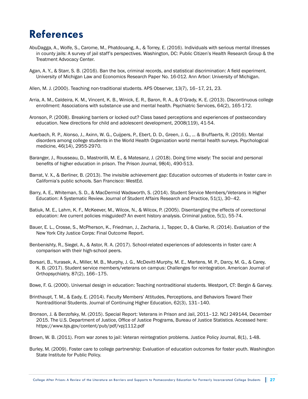# **References**

- AbuDagga, A., Wolfe, S., Carome, M., Phatdouang, A., & Torrey, E. (2016). Individuals with serious mental illnesses in county jails: A survey of jail staff's perspectives. Washington, DC: Public Citizen's Health Research Group & the Treatment Advocacy Center.
- Agan, A. Y., & Starr, S. B. (2016). Ban the box, criminal records, and statistical discrimination: A field experiment. University of Michigan Law and Economics Research Paper No. 16-012. Ann Arbor: University of Michigan.
- Allen, M. J. (2000). Teaching non-traditional students. APS Observer, 13(7), 16–17, 21, 23.
- Arria, A. M., Caldeira, K. M., Vincent, K. B., Winick, E. R., Baron, R. A., & O'Grady, K. E. (2013). Discontinuous college enrollment: Associations with substance use and mental health. Psychiatric Services, 64(2), 165-172.
- Aronson, P. (2008). Breaking barriers or locked out? Class based perceptions and experiences of postsecondary education. New directions for child and adolescent development, 2008(119), 41-54.
- Auerbach, R. P., Alonso, J., Axinn, W. G., Cuijpers, P., Ebert, D. D., Green, J. G., ... & Bruffaerts, R. (2016). Mental disorders among college students in the World Health Organization world mental health surveys. Psychological medicine, 46(14), 2955-2970.
- Baranger, J., Rousseau, D., Mastrorilli, M. E., & Matesanz, J. (2018). Doing time wisely: The social and personal benefits of higher education in prison. The Prison Journal, 98(4), 490-513.
- Barrat, V. X., & Berliner, B. (2013). The invisible achievement gap: Education outcomes of students in foster care in California's public schools. San Francisco: WestEd.
- Barry, A. E., Whiteman, S. D., & MacDermid Wadsworth, S. (2014). Student Service Members/Veterans in Higher Education: A Systematic Review. Journal of Student Affairs Research and Practice, 51(1), 30–42.
- Batiuk, M. E., Lahm, K. F., McKeever, M., Wilcox, N., & Wilcox, P. (2005). Disentangling the effects of correctional education: Are current policies misguided? An event history analysis. Criminal justice, 5(1), 55-74.
- Bauer, E. L., Crosse, S., McPherson, K., Friedman, J., Zacharia, J., Tapper, D., & Clarke, R. (2014). Evaluation of the New York City Justice Corps: Final Outcome Report.
- Benbenishty, R., Siegel, A., & Astor, R. A. (2017). School-related experiences of adolescents in foster care: A comparison with their high-school peers.
- Borsari, B., Yurasek, A., Miller, M. B., Murphy, J. G., McDevitt-Murphy, M. E., Martens, M. P., Darcy, M. G., & Carey, K. B. (2017). Student service members/veterans on campus: Challenges for reintegration. American Journal of Orthopsychiatry, 87(2), 166–175.
- Bowe, F. G. (2000). Universal design in education: Teaching nontraditional students. Westport, CT: Bergin & Garvey.
- Brinthaupt, T. M., & Eady, E. (2014). Faculty Members' Attitudes, Perceptions, and Behaviors Toward Their Nontraditional Students. Journal of Continuing Higher Education, 62(3), 131–140.
- Bronson, J. & Berzofsky, M. (2015). Special Report: Veterans in Prison and Jail, 2011–12. NCJ 249144, December 2015. The U.S. Department of Justice, Office of Justice Programs, Bureau of Justice Statistics. Accessed here: https://www.bjs.gov/content/pub/pdf/vpj1112.pdf
- Brown, W. B. (2011). From war zones to jail: Veteran reintegration problems. Justice Policy Journal, 8(1), 1-48.
- Burley, M. (2009). Foster care to college partnership: Evaluation of education outcomes for foster youth. Washington State Institute for Public Policy.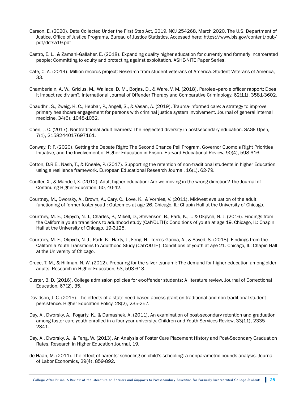- Carson, E. (2020). Data Collected Under the First Step Act, 2019. NCJ 254268, March 2020. The U.S. Department of Justice, Office of Justice Programs, Bureau of Justice Statistics. Accessed here: https://www.bjs.gov/content/pub/ pdf/dcfsa19.pdf
- Castro, E. L., & Zamani-Gallaher, E. (2018). Expanding quality higher education for currently and formerly incarcerated people: Committing to equity and protecting against exploitation. ASHE-NITE Paper Series.
- Cate, C. A. (2014). Million records project: Research from student veterans of America. Student Veterans of America, 33.
- Chamberlain, A. W., Gricius, M., Wallace, D. M., Borjas, D., & Ware, V. M. (2018). Parolee–parole officer rapport: Does it impact recidivism?. International Journal of Offender Therapy and Comparative Criminology, 62(11), 3581-3602.
- Chaudhri, S., Zweig, K. C., Hebbar, P., Angell, S., & Vasan, A. (2019). Trauma-informed care: a strategy to improve primary healthcare engagement for persons with criminal justice system involvement. Journal of general internal medicine, 34(6), 1048-1052.
- Chen, J. C. (2017). Nontraditional adult learners: The neglected diversity in postsecondary education. SAGE Open, 7(1), 2158244017697161.
- Conway, P. F. (2020). Getting the Debate Right: The Second Chance Pell Program, Governor Cuomo's Right Priorities Initiative, and the Involvement of Higher Education in Prison. Harvard Educational Review, 90(4), 598-616.
- Cotton, D.R.E., Nash, T., & Kneale, P. (2017). Supporting the retention of non-traditional students in higher Education using a resilience framework. European Educational Research Journal, 16(1), 62-79.
- Coulter, X., & Mandell, X. (2012). Adult higher education: Are we moving in the wrong direction? The Journal of Continuing Higher Education, 60, 40-42.
- Courtney, M., Dworsky, A., Brown, A., Cary, C., Love, K., & Vorhies, V. (2011). Midwest evaluation of the adult functioning of former foster youth: Outcomes at age 26. Chicago, IL: Chapin Hall at the University of Chicago.
- Courtney, M. E., Okpych, N. J., Charles, P., Mikell, D., Stevenson, B., Park, K., ... & Okpych, N. J. (2016). Findings from the California youth transitions to adulthood study (CalYOUTH): Conditions of youth at age 19. Chicago, IL: Chapin Hall at the University of Chicago, 19-3125.
- Courtney, M. E., Okpych, N. J., Park, K., Harty, J., Feng, H., Torres-Garcia, A., & Sayed, S. (2018). Findings from the California Youth Transitions to Adulthood Study (CalYOUTH): Conditions of youth at age 21. Chicago, IL: Chapin Hall at the University of Chicago.
- Cruce, T. M., & Hillman, N. W. (2012). Preparing for the silver tsunami: The demand for higher education among older adults. Research in Higher Education, 53, 593-613.
- Custer, B. D. (2016). College admission policies for ex-offender students: A literature review. Journal of Correctional Education, 67(2), 35.
- Davidson, J. C. (2015). The effects of a state need-based access grant on traditional and non-traditional student persistence. Higher Education Policy, 28(2), 235-257.
- Day, A., Dworsky, A., Fogarty, K., & Damashek, A. (2011). An examination of post-secondary retention and graduation among foster care youth enrolled in a four-year university. Children and Youth Services Review, 33(11), 2335– 2341.
- Day, A., Dworsky, A., & Feng, W. (2013). An Analysis of Foster Care Placement History and Post-Secondary Graduation Rates. Research in Higher Education Journal, 19.
- de Haan, M. (2011). The effect of parents' schooling on child's schooling: a nonparametric bounds analysis. Journal of Labor Economics, 29(4), 859-892.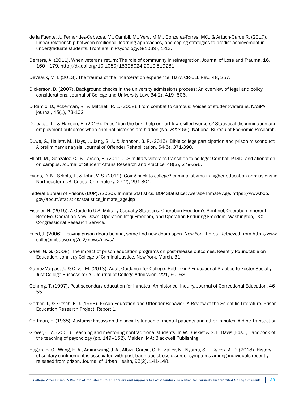- de la Fuente, J., Fernandez-Cabezas, M., Cambil, M., Vera, M.M., Gonzalez-Torres, MC., & Artuch-Garde R. (2017). Linear relationship between resilience, learning approaches, and coping strategies to predict achievement in undergraduate students. Frontiers in Psychology, 8(1039), 1-13.
- Demers, A. (2011). When veterans return: The role of community in reintegration. Journal of Loss and Trauma, 16, 160 –179. http://dx.doi.org/10.1080/15325024.2010.519281
- DeVeaux, M. I. (2013). The trauma of the incarceration experience. Harv. CR-CLL Rev., 48, 257.
- Dickerson, D. (2007). Background checks in the university admissions process: An overview of legal and policy considerations. Journal of College and University Law, 34(2), 419–506.
- DiRamio, D., Ackerman, R., & Mitchell, R. L. (2008). From combat to campus: Voices of student-veterans. NASPA journal, 45(1), 73-102.
- Doleac, J. L., & Hansen, B. (2016). Does "ban the box" help or hurt low-skilled workers? Statistical discrimination and employment outcomes when criminal histories are hidden (No. w22469). National Bureau of Economic Research.
- Duwe, G., Hallett, M., Hays, J., Jang, S. J., & Johnson, B. R. (2015). Bible college participation and prison misconduct: A preliminary analysis. Journal of Offender Rehabilitation, 54(5), 371-390.
- Elliott, M., Gonzalez, C., & Larsen, B. (2011). US military veterans transition to college: Combat, PTSD, and alienation on campus. Journal of Student Affairs Research and Practice, 48(3), 279-296.
- Evans, D. N., Szkola, J., & John, V. S. (2019). Going back to college? criminal stigma in higher education admissions in Northeastern US. Critical Criminology, 27(2), 291-304.
- Federal Bureau of Prisons (BOP). (2020). Inmate Statistics. BOP Statistics: Average Inmate Age. https://www.bop. gov/about/statistics/statistics\_inmate\_age.jsp
- Fischer, H. (2015). A Guide to U.S. Military Casualty Statistics: Operation Freedom's Sentinel, Operation Inherent Resolve, Operation New Dawn, Operation Iraqi Freedom, and Operation Enduring Freedom. Washington, DC: Congressional Research Service.
- Fried, J. (2006). Leaving prison doors behind, some find new doors open. New York Times. Retrieved from http://www. collegeinitiative.org/ci2/news/news/
- Gaes, G. G. (2008). The impact of prison education programs on post-release outcomes. Reentry Roundtable on Education, John Jay College of Criminal Justice, New York, March, 31.
- Gamez-Vargas, J., & Oliva, M. (2013). Adult Guidance for College: Rethinking Educational Practice to Foster Socially-Just College Success for All. Journal of College Admission, 221, 60–68.
- Gehring, T. (1997). Post-secondary education for inmates: An historical inquiry. Journal of Correctional Education, 46- 55.
- Gerber, J., & Fritsch, E. J. (1993). Prison Education and Offender Behavior: A Review of the Scientific Literature. Prison Education Research Project: Report 1.
- Goffman, E. (1968). Asylums: Essays on the social situation of mental patients and other inmates. Aldine Transaction.
- Grover, C. A. (2006). Teaching and mentoring nontraditional students. In W. Buskist & S. F. Davis (Eds.), Handbook of the teaching of psychology (pp. 149–152). Malden, MA: Blackwell Publishing.
- Hagan, B. O., Wang, E. A., Aminawung, J. A., Albizu-Garcia, C. E., Zaller, N., Nyamu, S., ... & Fox, A. D. (2018). History of solitary confinement is associated with post-traumatic stress disorder symptoms among individuals recently released from prison. Journal of Urban Health, 95(2), 141-148.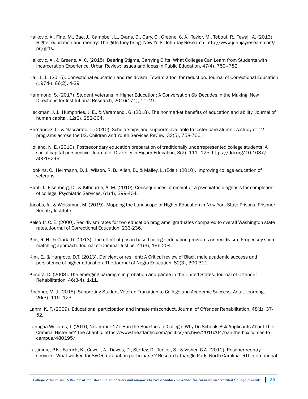- Halkovic, A., Fine, M., Bae, J., Campbell, L., Evans, D., Gary, C., Greene, C. A., Taylor, M., Tebout, R., Tewaji, A. (2013). Higher education and reentry: The gifts they bring. New York: John Jay Research. http://www.johnjayresearch.org/ pri/gifts.
- Halkovic, A., & Greene, A. C. (2015). Bearing Stigma, Carrying Gifts: What Colleges Can Learn from Students with Incarceration Experience. Urban Review: Issues and Ideas in Public Education, 47(4), 759–782.
- Hall, L. L. (2015). Correctional education and recidivism: Toward a tool for reduction. Journal of Correctional Education (1974-), 66(2), 4-29.
- Hammond, S. (2017). Student Veterans in Higher Education: A Conversation Six Decades in the Making. New Directions for Institutional Research, 2016(171), 11–21.
- Heckman, J. J., Humphries, J. E., & Veramendi, G. (2018). The nonmarket benefits of education and ability. Journal of human capital, 12(2), 282-304.
- Hernandez, L., & Naccarato, T. (2010). Scholarships and supports available to foster care alumni: A study of 12 programs across the US. Children and Youth Services Review, 32(5), 758-766.
- Holland, N. E. (2010). Postsecondary education preparation of traditionally underrepresented college students: A social capital perspective. Journal of Diversity in Higher Education, 3(2), 111–125. https://doi.org/10.1037/ a0019249
- Hopkins, C., Herrmann, D. J., Wilson, R. B., Allen, B., & Malley, L. (Eds.). (2010). Improving college education of veterans.
- Hunt, J., Eisenberg, D., & Kilbourne, A. M. (2010). Consequences of receipt of a psychiatric diagnosis for completion of college. Psychiatric Services, 61(4), 399-404.
- Jacobs, A., & Weissman, M. (2019). Mapping the Landscape of Higher Education in New York State Prisons. Prisoner Reentry Institute.
- Kelso Jr, C. E. (2000). Recidivism rates for two education programs' graduates compared to overall Washington state rates. Journal of Correctional Education, 233-236.
- Kim, R. H., & Clark, D. (2013). The effect of prison-based college education programs on recidivism: Propensity score matching approach. Journal of Criminal Justice, 41(3), 196-204.
- Kim, E., & Hargrove, D.T. (2013). Deficient or resilient: A Critical review of Black male academic success and persistence of higher education. The Journal of Negro Education, 82(3), 300-311.
- Kimora, D. (2008). The emerging paradigm in probation and parole in the United States. Journal of Offender Rehabilitation, 46(3-4), 1-11.
- Kirchner, M. J. (2015). Supporting Student Veteran Transition to College and Academic Success. Adult Learning, 26(3), 116–123.
- Lahm, K. F. (2009). Educational participation and inmate misconduct. Journal of Offender Rehabilitation, 48(1), 37- 52.
- Lantigua-Williams, J. (2016, November 17). Ban the Box Goes to College: Why Do Schools Ask Applicants About Their Criminal Histories? The Atlantic. https://www.theatlantic.com/politics/archive/2016/04/ban-the-box-comes-tocampus/480195/
- Lattimore, P.K., Barrick, K., Cowell, A., Dawes, D., Steffey, D., Tueller, S., & Visher, C.A. (2012). Prisoner reentry services: What worked for SVORI evaluation participants? Research Triangle Park, North Carolina: RTI International.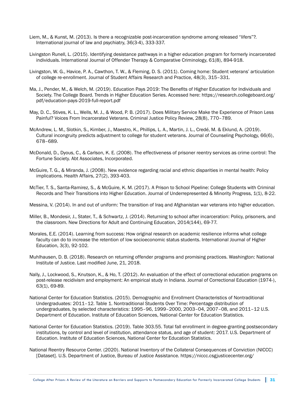- Liem, M., & Kunst, M. (2013). Is there a recognizable post-incarceration syndrome among released "lifers"?. International journal of law and psychiatry, 36(3-4), 333-337.
- Livingston Runell, L. (2015). Identifying desistance pathways in a higher education program for formerly incarcerated individuals. International Journal of Offender Therapy & Comparative Criminology, 61(8), 894-918.
- Livingston, W. G., Havice, P. A., Cawthon, T. W., & Fleming, D. S. (2011). Coming home: Student veterans' articulation of college re-enrollment. Journal of Student Affairs Research and Practice, 48(3), 315–331.
- Ma, J., Pender, M., & Welch, M. (2019). Education Pays 2019: The Benefits of Higher Education for Individuals and Society. The College Board. Trends in Higher Education Series. Accessed here: https://research.collegeboard.org/ pdf/education-pays-2019-full-report.pdf
- May, D. C., Stives, K. L., Wells, M. J., & Wood, P. B. (2017). Does Military Service Make the Experience of Prison Less Painful? Voices From Incarcerated Veterans. Criminal Justice Policy Review, 28(8), 770–789.
- McAndrew, L. M., Slotkin, S., Kimber, J., Maestro, K., Phillips, L. A., Martin, J. L., Credé, M. & Eklund, A. (2019). Cultural incongruity predicts adjustment to college for student veterans. Journal of Counseling Psychology, 66(6), 678–689.
- McDonald, D., Dyous, C., & Carlson, K. E. (2008). The effectiveness of prisoner reentry services as crime control: The Fortune Society. Abt Associates, Incorporated.
- McGuire, T. G., & Miranda, J. (2008). New evidence regarding racial and ethnic disparities in mental health: Policy implications. Health Affairs, 27(2), 393-403.
- McTier, T. S., Santa-Ramirez, S., & McGuire, K. M. (2017). A Prison to School Pipeline: College Students with Criminal Records and Their Transitions into Higher Education. Journal of Underrepresented & Minority Progress, 1(1), 8-22.
- Messina, V. (2014). In and out of uniform: The transition of Iraq and Afghanistan war veterans into higher education.
- Miller, B., Mondesir, J., Stater, T., & Schwartz, J. (2014). Returning to school after incarceration: Policy, prisoners, and the classroom. New Directions for Adult and Continuing Education, 2014(144), 69-77.
- Morales, E.E. (2014). Learning from success: How original research on academic resilience informs what college faculty can do to increase the retention of low socioeconomic status students. International Journal of Higher Education, 3(3), 92-102.
- Muhlhausen, D. B. (2018). Research on returning offender programs and promising practices. Washington: National Institute of Justice. Last modified June, 21, 2018.
- Nally, J., Lockwood, S., Knutson, K., & Ho, T. (2012). An evaluation of the effect of correctional education programs on post-release recidivism and employment: An empirical study in Indiana. Journal of Correctional Education (1974-), 63(1), 69-89.
- National Center for Education Statistics. (2015). Demographic and Enrollment Characteristics of Nontraditional Undergraduates: 2011–12. Table 1. Nontraditional Students Over Time: Percentage distribution of undergraduates, by selected characteristics: 1995–96, 1999–2000, 2003–04, 2007–08, and 2011–12 U.S. Department of Education. Institute of Education Sciences, National Center for Education Statistics.
- National Center for Education Statistics. (2019). Table 303.55. Total fall enrollment in degree-granting postsecondary institutions, by control and level of institution, attendance status, and age of student: 2017. U.S. Department of Education. Institute of Education Sciences, National Center for Education Statistics.
- National Reentry Resource Center. (2020). National Inventory of the Collateral Consequences of Conviction (NICCC) [Dataset]. U.S. Department of Justice, Bureau of Justice Assistance. https://niccc.csgjusticecenter.org/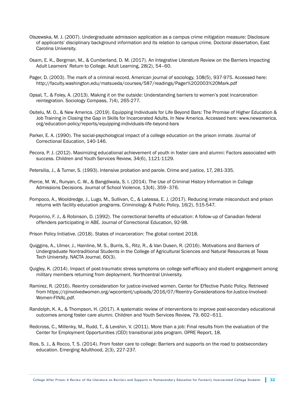- Olszewska, M. J. (2007). Undergraduate admission application as a campus crime mitigation measure: Disclosure of applicants' disciplinary background information and its relation to campus crime. Doctoral dissertation, East Carolina University.
- Osam, E. K., Bergman, M., & Cumberland, D. M. (2017). An Integrative Literature Review on the Barriers Impacting Adult Learners' Return to College. Adult Learning, 28(2), 54–60.
- Pager, D. (2003). The mark of a criminal record. American journal of sociology, 108(5), 937-975. Accessed here: http://faculty.washington.edu/matsueda/courses/587/readings/Pager%202003%20Mark.pdf
- Opsal, T., & Foley, A. (2013). Making it on the outside: Understanding barriers to women's post incarceration reintegration. Sociology Compass, 7(4), 265-277.
- Ositelu, M. O., & New America. (2019). Equipping Individuals for Life Beyond Bars: The Promise of Higher Education & Job Training in Closing the Gap in Skills for Incarcerated Adults. In New America. Accessed here: www.newamerica. org/education-policy/reports/equipping-individuals-life-beyond-bars
- Parker, E. A. (1990). The social-psychological impact of a college education on the prison inmate. Journal of Correctional Education, 140-146.
- Pecora, P. J. (2012). Maximizing educational achievement of youth in foster care and alumni: Factors associated with success. Children and Youth Services Review, 34(6), 1121-1129.
- Petersilia, J., & Turner, S. (1993). Intensive probation and parole. Crime and justice, 17, 281-335.
- Pierce, M. W., Runyan, C. W., & Bangdiwala, S. I. (2014). The Use of Criminal History Information in College Admissions Decisions. Journal of School Violence, 13(4), 359–376.
- Pompoco, A., Wooldredge, J., Lugo, M., Sullivan, C., & Latessa, E. J. (2017). Reducing inmate misconduct and prison returns with facility education programs. Criminology & Public Policy, 16(2), 515-547.
- Porporino, F. J., & Robinson, D. (1992). The correctional benefits of education: A follow-up of Canadian federal offenders participating in ABE. Journal of Correctional Education, 92-98.
- Prison Policy Initiative. (2018). States of incarceration: The global context 2018.
- Quiggins, A., Ulmer, J., Hainline, M. S., Burris, S., Ritz, R., & Van Dusen, R. (2016). Motivations and Barriers of Undergraduate Nontraditional Students in the College of Agricultural Sciences and Natural Resources at Texas Tech University. NACTA Journal, 60(3).
- Quigley, K. (2014). Impact of post-traumatic stress symptoms on college self-efficacy and student engagement among military members returning from deployment. Northcentral University.
- Ramirez, R. (2016). Reentry consideration for justice-involved women. Center for Effective Public Policy. Retrieved from https://cjinvolvedwomen.org/wpcontent/uploads/2016/07/Reentry-Considerations-for-Justice-Involved-Women-FINAL.pdf.
- Randolph, K. A., & Thompson, H. (2017). A systematic review of interventions to improve post-secondary educational outcomes among foster care alumni. Children and Youth Services Review, 79, 602–611.
- Redcross, C., Millenky, M., Rudd, T., & Levshin, V. (2011). More than a job: Final results from the evaluation of the Center for Employment Opportunities (CEO) transitional jobs program. OPRE Report, 18.
- Rios, S. J., & Rocco, T. S. (2014). From foster care to college: Barriers and supports on the road to postsecondary education. Emerging Adulthood, 2(3), 227-237.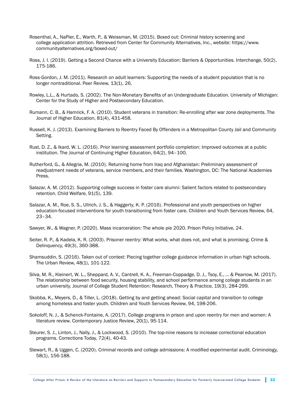- Rosenthal, A., NaPier, E., Warth, P., & Weissman, M. (2015). Boxed out: Criminal history screening and college application attrition. Retrieved from Center for Community Alternatives, Inc., website: https://www. communityalternatives.org/boxed-out/
- Ross, J. I. (2019). Getting a Second Chance with a University Education: Barriers & Opportunities. Interchange, 50(2), 175-186.
- Ross-Gordon, J. M. (2011). Research on adult learners: Supporting the needs of a student population that is no longer nontraditional. Peer Review, 13(1), 26.
- Rowley, L.L., & Hurtado, S. (2002). The Non-Monetary Benefits of an Undergraduate Education. University of Michigan: Center for the Study of Higher and Postsecondary Education.
- Rumann, C. B., & Hamrick, F. A. (2010). Student veterans in transition: Re-enrolling after war zone deployments. The Journal of Higher Education, 81(4), 431-458.
- Russell, K. J. (2013). Examining Barriers to Reentry Faced By Offenders in a Metropolitan County Jail and Community Setting.
- Rust, D. Z., & Ikard, W. L. (2016). Prior learning assessment portfolio completion: Improved outcomes at a public institution. The Journal of Continuing Higher Education, 64(2), 94–100.
- Rutherford, G., & Allegria, M. (2010). Returning home from Iraq and Afghanistan: Preliminary assessment of readjustment needs of veterans, service members, and their families. Washington, DC: The National Academies Press.
- Salazar, A. M. (2012). Supporting college success in foster care alumni: Salient factors related to postsecondary retention. Child Welfare, 91(5), 139.
- Salazar, A. M., Roe, S. S., Ullrich, J. S., & Haggerty, K. P. (2016). Professional and youth perspectives on higher education-focused interventions for youth transitioning from foster care. Children and Youth Services Review, 64, 23–34.

Sawyer, W., & Wagner, P. (2020). Mass incarceration: The whole pie 2020. Prison Policy Initiative, 24.

- Seiter, R. P., & Kadela, K. R. (2003). Prisoner reentry: What works, what does not, and what is promising. Crime & Delinquency, 49(3), 360-388.
- Shamsuddin, S. (2016). Taken out of context: Piecing together college guidance information in urban high schools. The Urban Review, 48(1), 101-122.
- Silva, M. R., Kleinert, W. L., Sheppard, A. V., Cantrell, K. A., Freeman-Coppadge, D. J., Tsoy, E., ... & Pearrow, M. (2017). The relationship between food security, housing stability, and school performance among college students in an urban university. Journal of College Student Retention: Research, Theory & Practice, 19(3), 284-299.
- Skobba, K., Meyers, D., & Tiller, L. (2018). Getting by and getting ahead: Social capital and transition to college among homeless and foster youth. Children and Youth Services Review, 94, 198-206.
- Sokoloff, N. J., & Schenck-Fontaine, A. (2017). College programs in prison and upon reentry for men and women: A literature review. Contemporary Justice Review, 20(1), 95-114.
- Steurer, S. J., Linton, J., Nally, J., & Lockwood, S. (2010). The top-nine reasons to increase correctional education programs. Corrections Today, 72(4), 40-43.
- Stewart, R., & Uggen, C. (2020). Criminal records and college admissions: A modified experimental audit. Criminology, 58(1), 156-188.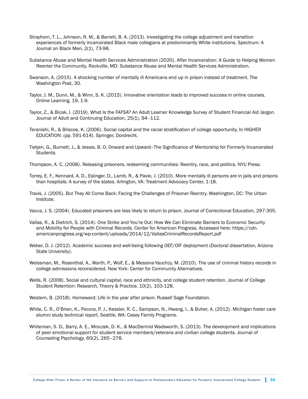- Strayhorn, T. L., Johnson, R. M., & Barrett, B. A. (2013). Investigating the college adjustment and transition experiences of formerly incarcerated Black male collegians at predominantly White institutions. Spectrum: A Journal on Black Men, 2(1), 73-98.
- Substance Abuse and Mental Health Services Administration (2020). After Incarceration: A Guide to Helping Women Reenter the Community. Rockville, MD: Substance Abuse and Mental Health Services Administration.
- Swanson, A. (2015). A shocking number of mentally ill Americans end up in prison instead of treatment. The Washington Post, 30.
- Taylor, J. M., Dunn, M., & Winn, S. K. (2015). Innovative orientation leads to improved success in online courses. Online Learning, 19, 1-9.
- Taylor, Z., & Bicak, I. (2019). What Is the FAFSA? An Adult Learner Knowledge Survey of Student Financial Aid Jargon. Journal of Adult and Continuing Education, 25(1), 94–112.
- Teranishi, R., & Briscoe, K. (2006). Social capital and the racial stratification of college opportunity. In HIGHER EDUCATION: (pp. 591-614). Springer, Dordrecht.
- Tietjen, G., Burnett, J., & Jessie, B. O. Onward and Upward–The Significance of Mentorship for Formerly Incarcerated Students.
- Thompson, A. C. (2008). Releasing prisoners, redeeming communities: Reentry, race, and politics. NYU Press.
- Torrey, E. F., Kennard, A. D., Eslinger, D., Lamb, R., & Pavle, J. (2010). More mentally ill persons are in jails and prisons than hospitals: A survey of the states. Arlington, VA: Treatment Advocacy Center, 1-18.
- Travis, J. (2005). But They All Come Back: Facing the Challenges of Prisoner Reentry. Washington, DC: The Urban Institute.
- Vacca, J. S. (2004). Educated prisoners are less likely to return to prison. Journal of Correctional Education, 297-305.
- Vallas, R., & Dietrich, S. (2014). One Strike and You're Out: How We Can Eliminate Barriers to Economic Security and Mobility for People with Criminal Records. Center for American Progress. Accessed here: https://cdn. americanprogress.org/wp-content/uploads/2014/12/VallasCriminalRecordsReport.pdf
- Weber, D. J. (2012). Academic success and well-being following OEF/OIF deployment (Doctoral dissertation, Arizona State University).
- Weissman, M., Rosenthal, A., Warth, P., Wolf, E., & Messina-Yauchzy, M. (2010). The use of criminal history records in college admissions reconsidered. New York: Center for Community Alternatives.
- Wells, R. (2008). Social and cultural capital, race and ethnicity, and college student retention. Journal of College Student Retention: Research, Theory & Practice, 10(2), 103-128.
- Western, B. (2018). Homeward: Life in the year after prison. Russell Sage Foundation.
- White, C. R., O'Brien, K., Pecora, P. J., Kessler, R. C., Sampson, N., Hwang, I., & Buher, A. (2012). Michigan foster care alumni study technical report. Seattle, WA: Casey Family Programs.
- Whiteman, S. D., Barry, A. E., Mroczek, D. K., & MacDermid Wadsworth, S. (2013). The development and implications of peer emotional support for student service members/veterans and civilian college students. Journal of Counseling Psychology, 60(2), 265–278.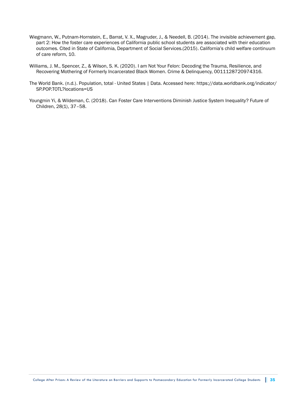- Wiegmann, W., Putnam-Hornstein, E., Barrat, V. X., Magruder, J., & Needell, B. (2014). The invisible achievement gap, part 2: How the foster care experiences of California public school students are associated with their education outcomes. Cited in State of California, Department of Social Services.(2015). California's child welfare continuum of care reform, 10.
- Williams, J. M., Spencer, Z., & Wilson, S. K. (2020). I am Not Your Felon: Decoding the Trauma, Resilience, and Recovering Mothering of Formerly Incarcerated Black Women. Crime & Delinquency, 0011128720974316.
- The World Bank. (n.d.). Population, total United States | Data. Accessed here: https://data.worldbank.org/indicator/ SP.POP.TOTL?locations=US
- Youngmin Yi, & Wildeman, C. (2018). Can Foster Care Interventions Diminish Justice System Inequality? Future of Children, 28(1), 37–58.